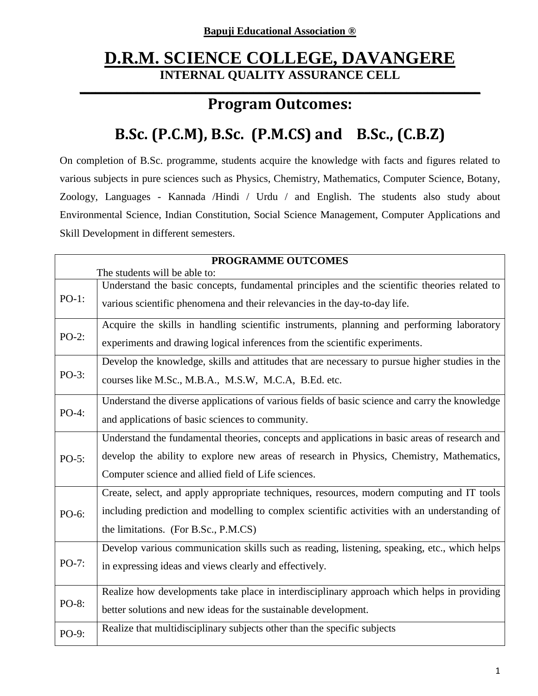# **D.R.M. SCIENCE COLLEGE, DAVANGERE INTERNAL QUALITY ASSURANCE CELL**

#### **\_\_\_\_\_\_\_\_\_\_\_\_\_\_\_\_\_\_\_\_\_\_\_\_\_\_\_\_\_\_\_\_\_\_\_\_\_\_\_\_\_\_\_\_\_\_\_\_\_\_\_\_\_\_\_\_\_\_\_\_\_\_\_\_\_\_\_\_\_\_\_\_\_\_\_\_ Program Outcomes:**

# **B.Sc. (P.C.M), B.Sc. (P.M.CS) and B.Sc., (C.B.Z)**

On completion of B.Sc. programme, students acquire the knowledge with facts and figures related to various subjects in pure sciences such as Physics, Chemistry, Mathematics, Computer Science, Botany, Zoology, Languages - Kannada /Hindi / Urdu / and English. The students also study about Environmental Science, Indian Constitution, Social Science Management, Computer Applications and Skill Development in different semesters.

|          | PROGRAMME OUTCOMES                                                                             |  |
|----------|------------------------------------------------------------------------------------------------|--|
|          | The students will be able to:                                                                  |  |
| $PO-1$ : | Understand the basic concepts, fundamental principles and the scientific theories related to   |  |
|          | various scientific phenomena and their relevancies in the day-to-day life.                     |  |
|          | Acquire the skills in handling scientific instruments, planning and performing laboratory      |  |
| $PO-2$ : | experiments and drawing logical inferences from the scientific experiments.                    |  |
|          | Develop the knowledge, skills and attitudes that are necessary to pursue higher studies in the |  |
| $PO-3:$  | courses like M.Sc., M.B.A., M.S.W, M.C.A, B.Ed. etc.                                           |  |
|          | Understand the diverse applications of various fields of basic science and carry the knowledge |  |
| PO-4:    | and applications of basic sciences to community.                                               |  |
|          | Understand the fundamental theories, concepts and applications in basic areas of research and  |  |
| $PO-5$ : | develop the ability to explore new areas of research in Physics, Chemistry, Mathematics,       |  |
|          | Computer science and allied field of Life sciences.                                            |  |
|          | Create, select, and apply appropriate techniques, resources, modern computing and IT tools     |  |
| PO-6:    | including prediction and modelling to complex scientific activities with an understanding of   |  |
|          | the limitations. (For B.Sc., P.M.CS)                                                           |  |
|          | Develop various communication skills such as reading, listening, speaking, etc., which helps   |  |
| $PO-7:$  | in expressing ideas and views clearly and effectively.                                         |  |
| PO-8:    | Realize how developments take place in interdisciplinary approach which helps in providing     |  |
|          | better solutions and new ideas for the sustainable development.                                |  |
| PO-9:    | Realize that multidisciplinary subjects other than the specific subjects                       |  |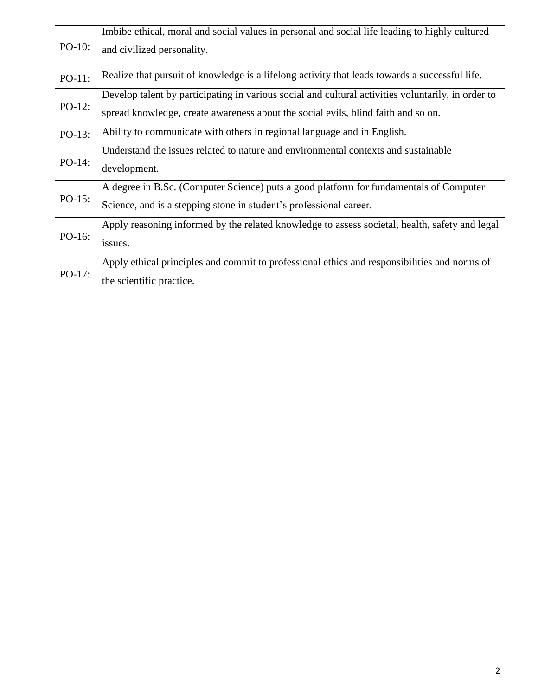| $PO-10$ : | Imbibe ethical, moral and social values in personal and social life leading to highly cultured<br>and civilized personality.                                                            |
|-----------|-----------------------------------------------------------------------------------------------------------------------------------------------------------------------------------------|
| PO-11:    | Realize that pursuit of knowledge is a lifelong activity that leads towards a successful life.                                                                                          |
| $PO-12$ : | Develop talent by participating in various social and cultural activities voluntarily, in order to<br>spread knowledge, create awareness about the social evils, blind faith and so on. |
| PO-13:    | Ability to communicate with others in regional language and in English.                                                                                                                 |
| $PO-14$ : | Understand the issues related to nature and environmental contexts and sustainable<br>development.                                                                                      |
| $PO-15$ : | A degree in B.Sc. (Computer Science) puts a good platform for fundamentals of Computer<br>Science, and is a stepping stone in student's professional career.                            |
| PO-16:    | Apply reasoning informed by the related knowledge to assess societal, health, safety and legal<br>issues.                                                                               |
| $PO-17:$  | Apply ethical principles and commit to professional ethics and responsibilities and norms of<br>the scientific practice.                                                                |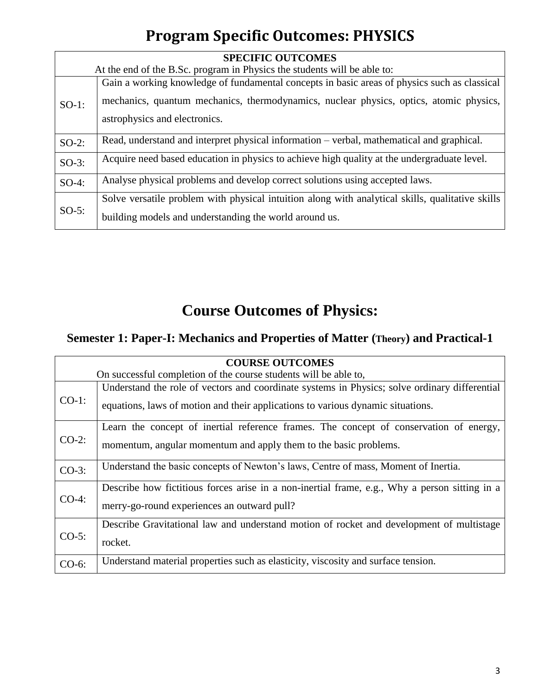# **Program Specific Outcomes: PHYSICS**

| <b>SPECIFIC OUTCOMES</b> |                                                                                                  |
|--------------------------|--------------------------------------------------------------------------------------------------|
|                          | At the end of the B.Sc. program in Physics the students will be able to:                         |
| $SO-1$ :                 | Gain a working knowledge of fundamental concepts in basic areas of physics such as classical     |
|                          | mechanics, quantum mechanics, thermodynamics, nuclear physics, optics, atomic physics,           |
|                          | astrophysics and electronics.                                                                    |
| $SO-2$ :                 | Read, understand and interpret physical information – verbal, mathematical and graphical.        |
| $SO-3$ :                 | Acquire need based education in physics to achieve high quality at the undergraduate level.      |
| $SO-4$ :                 | Analyse physical problems and develop correct solutions using accepted laws.                     |
| $SO-5$ :                 | Solve versatile problem with physical intuition along with analytical skills, qualitative skills |
|                          | building models and understanding the world around us.                                           |

# **Course Outcomes of Physics:**

### **Semester 1: Paper-I: Mechanics and Properties of Matter (Theory) and Practical-1**

| <b>COURSE OUTCOMES</b> |                                                                                                                                                                                  |  |
|------------------------|----------------------------------------------------------------------------------------------------------------------------------------------------------------------------------|--|
|                        | On successful completion of the course students will be able to,                                                                                                                 |  |
| $CO-1$ :               | Understand the role of vectors and coordinate systems in Physics; solve ordinary differential<br>equations, laws of motion and their applications to various dynamic situations. |  |
| $CO-2$ :               | Learn the concept of inertial reference frames. The concept of conservation of energy,<br>momentum, angular momentum and apply them to the basic problems.                       |  |
| $CO-3$ :               | Understand the basic concepts of Newton's laws, Centre of mass, Moment of Inertia.                                                                                               |  |
| $CO-4$ :               | Describe how fictitious forces arise in a non-inertial frame, e.g., Why a person sitting in a<br>merry-go-round experiences an outward pull?                                     |  |
| $CO-5$ :               | Describe Gravitational law and understand motion of rocket and development of multistage<br>rocket.                                                                              |  |
| CO-6:                  | Understand material properties such as elasticity, viscosity and surface tension.                                                                                                |  |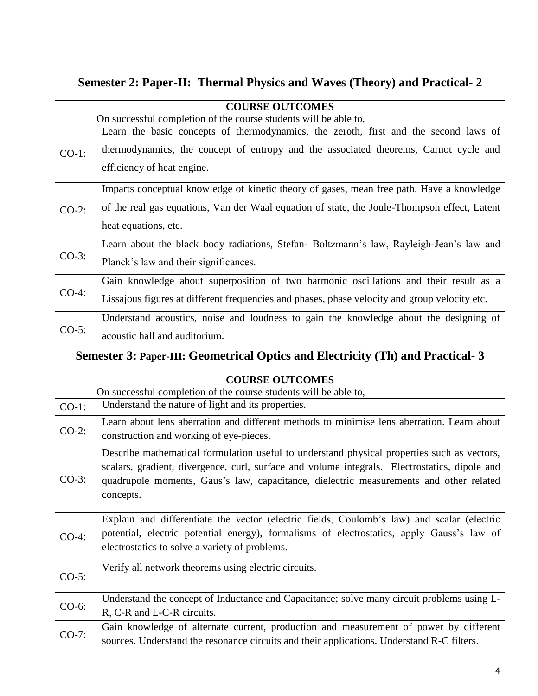### **Semester 2: Paper-II: Thermal Physics and Waves (Theory) and Practical- 2**

| <b>COURSE OUTCOMES</b> |                                                                                                                                                                              |  |
|------------------------|------------------------------------------------------------------------------------------------------------------------------------------------------------------------------|--|
|                        | On successful completion of the course students will be able to,                                                                                                             |  |
| $CO-1$ :               | Learn the basic concepts of thermodynamics, the zeroth, first and the second laws of<br>thermodynamics, the concept of entropy and the associated theorems, Carnot cycle and |  |
|                        | efficiency of heat engine.                                                                                                                                                   |  |
|                        | Imparts conceptual knowledge of kinetic theory of gases, mean free path. Have a knowledge                                                                                    |  |
| $CO-2$ :               | of the real gas equations, Van der Waal equation of state, the Joule-Thompson effect, Latent                                                                                 |  |
|                        | heat equations, etc.                                                                                                                                                         |  |
|                        | Learn about the black body radiations, Stefan-Boltzmann's law, Rayleigh-Jean's law and                                                                                       |  |
| $CO-3$ :               | Planck's law and their significances.                                                                                                                                        |  |
| $CO-4$ :               | Gain knowledge about superposition of two harmonic oscillations and their result as a                                                                                        |  |
|                        | Lissajous figures at different frequencies and phases, phase velocity and group velocity etc.                                                                                |  |
| $CO-5$ :               | Understand acoustics, noise and loudness to gain the knowledge about the designing of                                                                                        |  |
|                        | acoustic hall and auditorium.                                                                                                                                                |  |

### **Semester 3: Paper-III: Geometrical Optics and Electricity (Th) and Practical- 3**

| <b>COURSE OUTCOMES</b> |                                                                                                                                                                                                                                                                                                     |  |
|------------------------|-----------------------------------------------------------------------------------------------------------------------------------------------------------------------------------------------------------------------------------------------------------------------------------------------------|--|
|                        | On successful completion of the course students will be able to,                                                                                                                                                                                                                                    |  |
| $CO-1$ :               | Understand the nature of light and its properties.                                                                                                                                                                                                                                                  |  |
| $CO-2$ :               | Learn about lens aberration and different methods to minimise lens aberration. Learn about<br>construction and working of eye-pieces.                                                                                                                                                               |  |
| $CO-3$ :               | Describe mathematical formulation useful to understand physical properties such as vectors,<br>scalars, gradient, divergence, curl, surface and volume integrals. Electrostatics, dipole and<br>quadrupole moments, Gaus's law, capacitance, dielectric measurements and other related<br>concepts. |  |
| $CO-4$ :               | Explain and differentiate the vector (electric fields, Coulomb's law) and scalar (electric<br>potential, electric potential energy), formalisms of electrostatics, apply Gauss's law of<br>electrostatics to solve a variety of problems.                                                           |  |
| $CO-5$ :               | Verify all network theorems using electric circuits.                                                                                                                                                                                                                                                |  |
| $CO-6$ :               | Understand the concept of Inductance and Capacitance; solve many circuit problems using L-<br>R, C-R and L-C-R circuits.                                                                                                                                                                            |  |
| $CO-7$ :               | Gain knowledge of alternate current, production and measurement of power by different<br>sources. Understand the resonance circuits and their applications. Understand R-C filters.                                                                                                                 |  |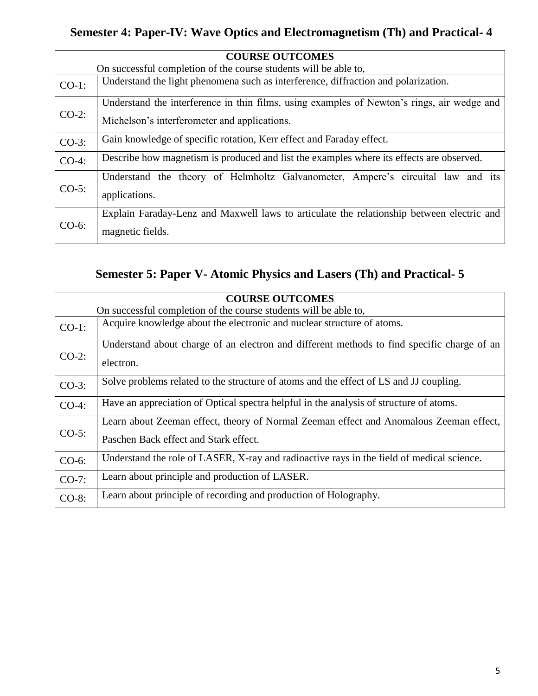### **Semester 4: Paper-IV: Wave Optics and Electromagnetism (Th) and Practical- 4**

|          | <b>COURSE OUTCOMES</b>                                                                     |  |
|----------|--------------------------------------------------------------------------------------------|--|
|          | On successful completion of the course students will be able to,                           |  |
| $CO-1$ : | Understand the light phenomena such as interference, diffraction and polarization.         |  |
| $CO-2$ : | Understand the interference in thin films, using examples of Newton's rings, air wedge and |  |
|          | Michelson's interferometer and applications.                                               |  |
| $CO-3$ : | Gain knowledge of specific rotation, Kerr effect and Faraday effect.                       |  |
| $CO-4$ : | Describe how magnetism is produced and list the examples where its effects are observed.   |  |
| $CO-5$ : | Understand the theory of Helmholtz Galvanometer, Ampere's circuital law and its            |  |
|          | applications.                                                                              |  |
| $CO-6$ : | Explain Faraday-Lenz and Maxwell laws to articulate the relationship between electric and  |  |
|          | magnetic fields.                                                                           |  |

### **Semester 5: Paper V- Atomic Physics and Lasers (Th) and Practical- 5**

| <b>COURSE OUTCOMES</b> |                                                                                            |
|------------------------|--------------------------------------------------------------------------------------------|
|                        | On successful completion of the course students will be able to,                           |
| $CO-1$ :               | Acquire knowledge about the electronic and nuclear structure of atoms.                     |
|                        | Understand about charge of an electron and different methods to find specific charge of an |
| $CO-2$ :               | electron.                                                                                  |
| $CO-3$ :               | Solve problems related to the structure of atoms and the effect of LS and JJ coupling.     |
| $CO-4$ :               | Have an appreciation of Optical spectra helpful in the analysis of structure of atoms.     |
|                        | Learn about Zeeman effect, theory of Normal Zeeman effect and Anomalous Zeeman effect,     |
| $CO-5$ :               | Paschen Back effect and Stark effect.                                                      |
| CO-6:                  | Understand the role of LASER, X-ray and radioactive rays in the field of medical science.  |
| $CO-7$ :               | Learn about principle and production of LASER.                                             |
| $CO-8$ :               | Learn about principle of recording and production of Holography.                           |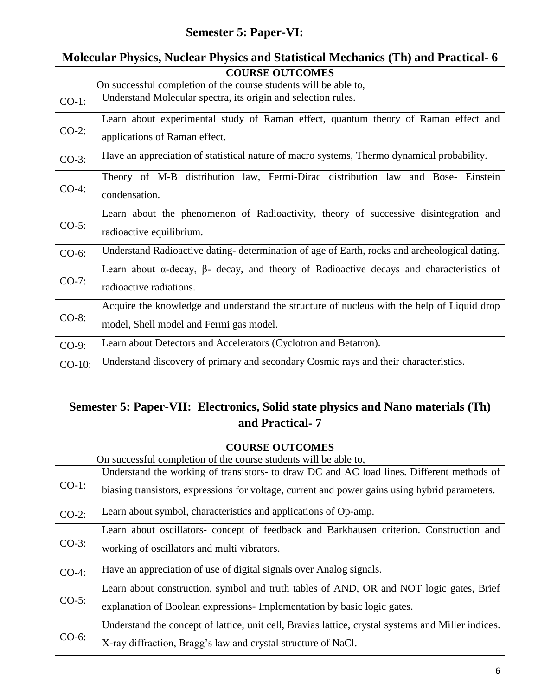### **Semester 5: Paper-VI:**

|           | <b>COURSE OUTCOMES</b>                                                                                                                |  |
|-----------|---------------------------------------------------------------------------------------------------------------------------------------|--|
|           | On successful completion of the course students will be able to,                                                                      |  |
| $CO-1$ :  | Understand Molecular spectra, its origin and selection rules.                                                                         |  |
| $CO-2$ :  | Learn about experimental study of Raman effect, quantum theory of Raman effect and<br>applications of Raman effect.                   |  |
| $CO-3$ :  | Have an appreciation of statistical nature of macro systems, Thermo dynamical probability.                                            |  |
| $CO-4$ :  | Theory of M-B distribution law, Fermi-Dirac distribution law and Bose- Einstein<br>condensation.                                      |  |
| $CO-5$ :  | Learn about the phenomenon of Radioactivity, theory of successive disintegration and<br>radioactive equilibrium.                      |  |
| $CO-6$ :  | Understand Radioactive dating- determination of age of Earth, rocks and archeological dating.                                         |  |
| $CO-7$ :  | Learn about $\alpha$ -decay, $\beta$ - decay, and theory of Radioactive decays and characteristics of<br>radioactive radiations.      |  |
| $CO-8$ :  | Acquire the knowledge and understand the structure of nucleus with the help of Liquid drop<br>model, Shell model and Fermi gas model. |  |
| $CO-9$ :  | Learn about Detectors and Accelerators (Cyclotron and Betatron).                                                                      |  |
| $CO-10$ : | Understand discovery of primary and secondary Cosmic rays and their characteristics.                                                  |  |

# **Molecular Physics, Nuclear Physics and Statistical Mechanics (Th) and Practical- 6**

### **Semester 5: Paper-VII: Electronics, Solid state physics and Nano materials (Th) and Practical- 7**

|          | <b>COURSE OUTCOMES</b>                                                                                                                                                                      |  |
|----------|---------------------------------------------------------------------------------------------------------------------------------------------------------------------------------------------|--|
|          | On successful completion of the course students will be able to,                                                                                                                            |  |
| $CO-1$ : | Understand the working of transistors- to draw DC and AC load lines. Different methods of<br>biasing transistors, expressions for voltage, current and power gains using hybrid parameters. |  |
| $CO-2$ : | Learn about symbol, characteristics and applications of Op-amp.                                                                                                                             |  |
| $CO-3$ : | Learn about oscillators- concept of feedback and Barkhausen criterion. Construction and<br>working of oscillators and multi vibrators.                                                      |  |
| $CO-4$ : | Have an appreciation of use of digital signals over Analog signals.                                                                                                                         |  |
| $CO-5$ : | Learn about construction, symbol and truth tables of AND, OR and NOT logic gates, Brief<br>explanation of Boolean expressions- Implementation by basic logic gates.                         |  |
| $CO-6$ : | Understand the concept of lattice, unit cell, Bravias lattice, crystal systems and Miller indices.<br>X-ray diffraction, Bragg's law and crystal structure of NaCl.                         |  |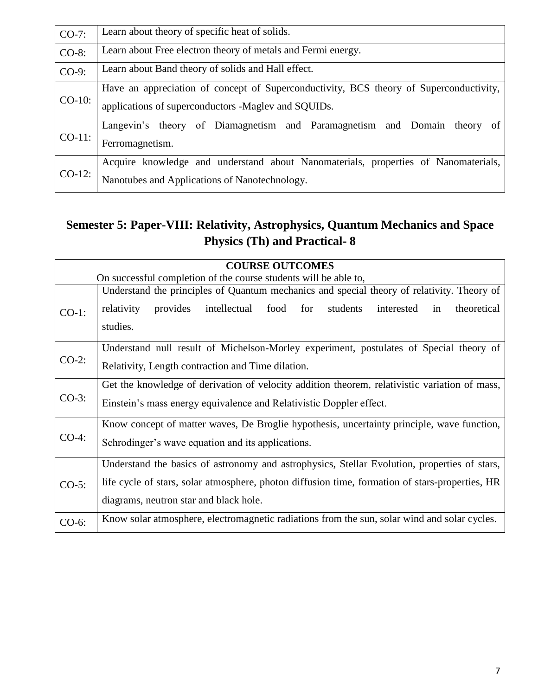| $CO-7$ :  | Learn about theory of specific heat of solids.                                                                                                |
|-----------|-----------------------------------------------------------------------------------------------------------------------------------------------|
| CO-8:     | Learn about Free electron theory of metals and Fermi energy.                                                                                  |
| $CO-9$ :  | Learn about Band theory of solids and Hall effect.                                                                                            |
| $CO-10$ : | Have an appreciation of concept of Superconductivity, BCS theory of Superconductivity,<br>applications of superconductors -Maglev and SQUIDs. |
| $CO-11$ : | Langevin's theory of Diamagnetism and Paramagnetism and Domain theory of<br>Ferromagnetism.                                                   |
| $CO-12$ : | Acquire knowledge and understand about Nanomaterials, properties of Nanomaterials,<br>Nanotubes and Applications of Nanotechnology.           |

### **Semester 5: Paper-VIII: Relativity, Astrophysics, Quantum Mechanics and Space Physics (Th) and Practical- 8**

|          | <b>COURSE OUTCOMES</b>                                                                               |  |
|----------|------------------------------------------------------------------------------------------------------|--|
|          | On successful completion of the course students will be able to,                                     |  |
|          | Understand the principles of Quantum mechanics and special theory of relativity. Theory of           |  |
| $CO-1$ : | for<br>theoretical<br>relativity<br>provides<br>intellectual<br>food<br>students<br>interested<br>in |  |
|          | studies.                                                                                             |  |
|          | Understand null result of Michelson-Morley experiment, postulates of Special theory of               |  |
| $CO-2$ : | Relativity, Length contraction and Time dilation.                                                    |  |
|          | Get the knowledge of derivation of velocity addition theorem, relativistic variation of mass,        |  |
| $CO-3$ : | Einstein's mass energy equivalence and Relativistic Doppler effect.                                  |  |
|          | Know concept of matter waves, De Broglie hypothesis, uncertainty principle, wave function,           |  |
| $CO-4:$  | Schrodinger's wave equation and its applications.                                                    |  |
| $CO-5$ : | Understand the basics of astronomy and astrophysics, Stellar Evolution, properties of stars,         |  |
|          | life cycle of stars, solar atmosphere, photon diffusion time, formation of stars-properties, HR      |  |
|          | diagrams, neutron star and black hole.                                                               |  |
| $CO-6$ : | Know solar atmosphere, electromagnetic radiations from the sun, solar wind and solar cycles.         |  |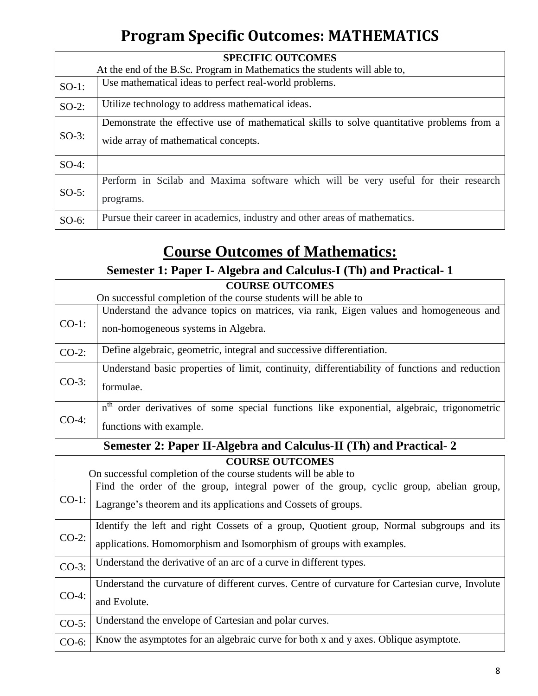# **Program Specific Outcomes: MATHEMATICS**

| <b>SPECIFIC OUTCOMES</b> |                                                                                                                                    |  |
|--------------------------|------------------------------------------------------------------------------------------------------------------------------------|--|
|                          | At the end of the B.Sc. Program in Mathematics the students will able to,                                                          |  |
| $SO-1$ :                 | Use mathematical ideas to perfect real-world problems.                                                                             |  |
| $SO-2$ :                 | Utilize technology to address mathematical ideas.                                                                                  |  |
| $SO-3$ :                 | Demonstrate the effective use of mathematical skills to solve quantitative problems from a<br>wide array of mathematical concepts. |  |
| $SO-4$ :                 |                                                                                                                                    |  |
| $SO-5$ :                 | Perform in Scilab and Maxima software which will be very useful for their research<br>programs.                                    |  |
| $SO-6$ :                 | Pursue their career in academics, industry and other areas of mathematics.                                                         |  |

# **Course Outcomes of Mathematics:**

**Semester 1: Paper I- Algebra and Calculus-I (Th) and Practical- 1**

| <b>COURSE OUTCOMES</b> |                                                                                                                               |  |
|------------------------|-------------------------------------------------------------------------------------------------------------------------------|--|
|                        | On successful completion of the course students will be able to                                                               |  |
| $CO-1$ :               | Understand the advance topics on matrices, via rank, Eigen values and homogeneous and<br>non-homogeneous systems in Algebra.  |  |
| $CO-2$ :               | Define algebraic, geometric, integral and successive differentiation.                                                         |  |
| $CO-3$ :               | Understand basic properties of limit, continuity, differentiability of functions and reduction<br>formulae.                   |  |
| $CO-4$ :               | $n^{th}$<br>order derivatives of some special functions like exponential, algebraic, trigonometric<br>functions with example. |  |

#### **Semester 2: Paper II-Algebra and Calculus-II (Th) and Practical- 2**

| <b>COURSE OUTCOMES</b> |                                                                                                                                                                 |  |
|------------------------|-----------------------------------------------------------------------------------------------------------------------------------------------------------------|--|
|                        | On successful completion of the course students will be able to                                                                                                 |  |
| $CO-1$ :               | Find the order of the group, integral power of the group, cyclic group, abelian group,<br>Lagrange's theorem and its applications and Cossets of groups.        |  |
| $CO-2$ :               | Identify the left and right Cossets of a group, Quotient group, Normal subgroups and its<br>applications. Homomorphism and Isomorphism of groups with examples. |  |
| $CO-3$ :               | Understand the derivative of an arc of a curve in different types.                                                                                              |  |
| $CO-4$ :               | Understand the curvature of different curves. Centre of curvature for Cartesian curve, Involute<br>and Evolute.                                                 |  |
| $CO-5$ :               | Understand the envelope of Cartesian and polar curves.                                                                                                          |  |
| $CO-6$ :               | Know the asymptotes for an algebraic curve for both x and y axes. Oblique asymptote.                                                                            |  |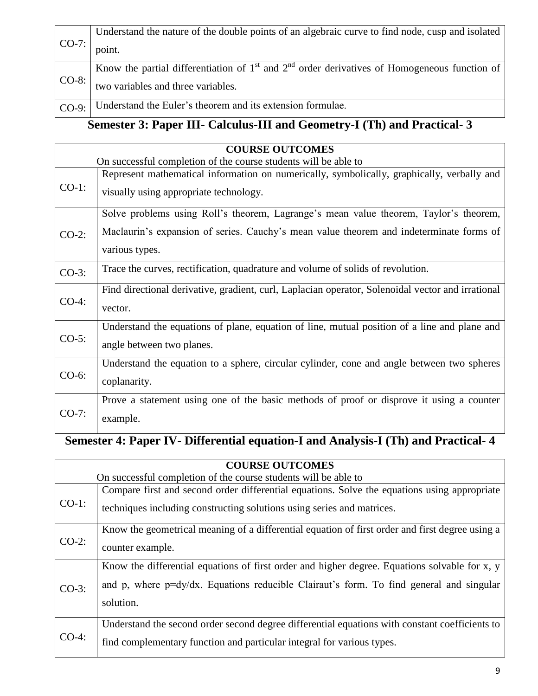| $ CO-7:$ | Understand the nature of the double points of an algebraic curve to find node, cusp and isolated |
|----------|--------------------------------------------------------------------------------------------------|
|          | point.                                                                                           |
| $ CO-8:$ | Know the partial differentiation of $1st$ and $2nd$ order derivatives of Homogeneous function of |
|          | two variables and three variables.                                                               |
| $CO-9:$  | Understand the Euler's theorem and its extension formulae.                                       |

# **Semester 3: Paper III- Calculus-III and Geometry-I (Th) and Practical- 3**

| <b>COURSE OUTCOMES</b> |                                                                                                   |
|------------------------|---------------------------------------------------------------------------------------------------|
|                        | On successful completion of the course students will be able to                                   |
|                        | Represent mathematical information on numerically, symbolically, graphically, verbally and        |
| $CO-1$ :               | visually using appropriate technology.                                                            |
|                        | Solve problems using Roll's theorem, Lagrange's mean value theorem, Taylor's theorem,             |
| $CO-2$ :               | Maclaurin's expansion of series. Cauchy's mean value theorem and indeterminate forms of           |
|                        | various types.                                                                                    |
| $CO-3$ :               | Trace the curves, rectification, quadrature and volume of solids of revolution.                   |
|                        | Find directional derivative, gradient, curl, Laplacian operator, Solenoidal vector and irrational |
| $CO-4$ :               | vector.                                                                                           |
|                        | Understand the equations of plane, equation of line, mutual position of a line and plane and      |
| $CO-5$ :               | angle between two planes.                                                                         |
| $CO-6$ :               | Understand the equation to a sphere, circular cylinder, cone and angle between two spheres        |
|                        | coplanarity.                                                                                      |
| $CO-7$ :               | Prove a statement using one of the basic methods of proof or disprove it using a counter          |
|                        | example.                                                                                          |

# **Semester 4: Paper IV- Differential equation-I and Analysis-I (Th) and Practical- 4**

| <b>COURSE OUTCOMES</b> |                                                                                                 |
|------------------------|-------------------------------------------------------------------------------------------------|
|                        | On successful completion of the course students will be able to                                 |
| $CO-1$ :               | Compare first and second order differential equations. Solve the equations using appropriate    |
|                        | techniques including constructing solutions using series and matrices.                          |
| $CO-2$ :               | Know the geometrical meaning of a differential equation of first order and first degree using a |
|                        | counter example.                                                                                |
| $CO-3$ :               | Know the differential equations of first order and higher degree. Equations solvable for x, y   |
|                        | and p, where p=dy/dx. Equations reducible Clairaut's form. To find general and singular         |
|                        | solution.                                                                                       |
| $CO-4$ :               | Understand the second order second degree differential equations with constant coefficients to  |
|                        | find complementary function and particular integral for various types.                          |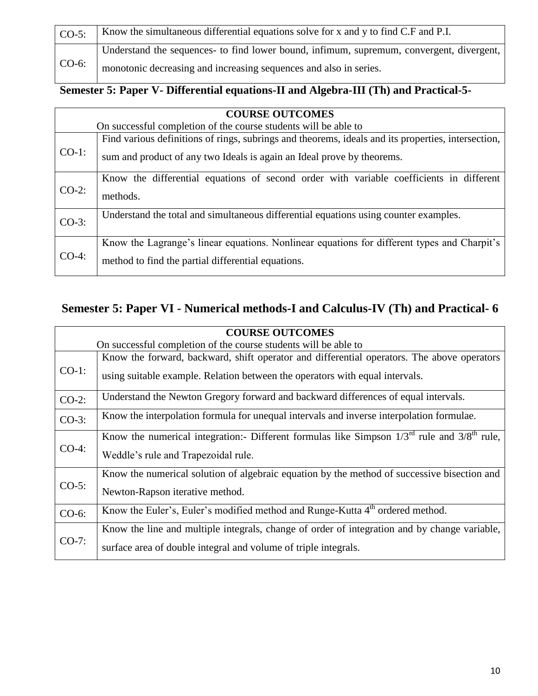| $CO-5$ : | Know the simultaneous differential equations solve for x and y to find C.F and P.I.      |
|----------|------------------------------------------------------------------------------------------|
| $CO-6$ : | Understand the sequences- to find lower bound, infimum, supremum, convergent, divergent, |
|          | monotonic decreasing and increasing sequences and also in series.                        |

### **Semester 5: Paper V- Differential equations-II and Algebra-III (Th) and Practical-5-**

| <b>COURSE OUTCOMES</b> |                                                                                                                                                                              |
|------------------------|------------------------------------------------------------------------------------------------------------------------------------------------------------------------------|
|                        | On successful completion of the course students will be able to                                                                                                              |
| $CO-1$ :               | Find various definitions of rings, subrings and theorems, ideals and its properties, intersection,<br>sum and product of any two Ideals is again an Ideal prove by theorems. |
| $CO-2$ :               | Know the differential equations of second order with variable coefficients in different<br>methods.                                                                          |
| $CO-3$ :               | Understand the total and simultaneous differential equations using counter examples.                                                                                         |
| $CO-4:$                | Know the Lagrange's linear equations. Nonlinear equations for different types and Charpit's<br>method to find the partial differential equations.                            |

### **Semester 5: Paper VI - Numerical methods-I and Calculus-IV (Th) and Practical- 6**

|          | <b>COURSE OUTCOMES</b>                                                                                |  |
|----------|-------------------------------------------------------------------------------------------------------|--|
|          | On successful completion of the course students will be able to                                       |  |
| $CO-1$ : | Know the forward, backward, shift operator and differential operators. The above operators            |  |
|          | using suitable example. Relation between the operators with equal intervals.                          |  |
| $CO-2$ : | Understand the Newton Gregory forward and backward differences of equal intervals.                    |  |
| $CO-3$ : | Know the interpolation formula for unequal intervals and inverse interpolation formulae.              |  |
|          | Know the numerical integration:- Different formulas like Simpson $1/3^{rd}$ rule and $3/8^{th}$ rule, |  |
| $CO-4$ : | Weddle's rule and Trapezoidal rule.                                                                   |  |
|          | Know the numerical solution of algebraic equation by the method of successive bisection and           |  |
| $CO-5$ : | Newton-Rapson iterative method.                                                                       |  |
| $CO-6$ : | Know the Euler's, Euler's modified method and Runge-Kutta 4 <sup>th</sup> ordered method.             |  |
| $CO-7$ : | Know the line and multiple integrals, change of order of integration and by change variable,          |  |
|          | surface area of double integral and volume of triple integrals.                                       |  |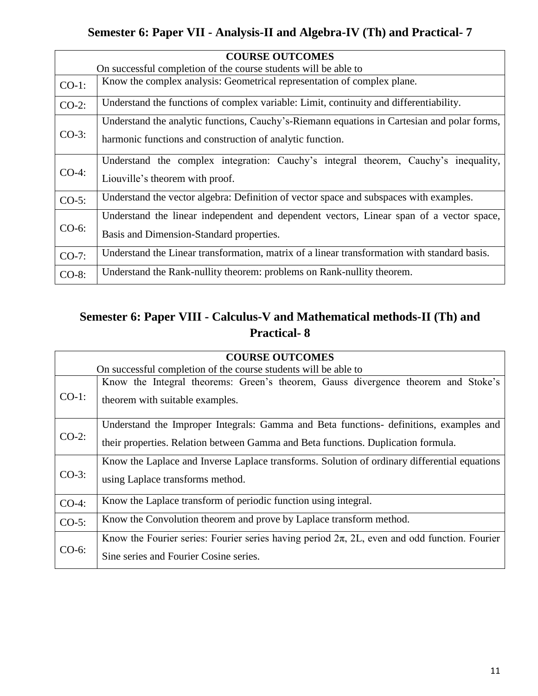### **Semester 6: Paper VII - Analysis-II and Algebra-IV (Th) and Practical- 7**

| <b>COURSE OUTCOMES</b> |                                                                                              |  |
|------------------------|----------------------------------------------------------------------------------------------|--|
|                        | On successful completion of the course students will be able to                              |  |
| $CO-1$ :               | Know the complex analysis: Geometrical representation of complex plane.                      |  |
| $CO-2$ :               | Understand the functions of complex variable: Limit, continuity and differentiability.       |  |
|                        | Understand the analytic functions, Cauchy's-Riemann equations in Cartesian and polar forms,  |  |
| $CO-3$ :               | harmonic functions and construction of analytic function.                                    |  |
|                        | Understand the complex integration: Cauchy's integral theorem, Cauchy's inequality,          |  |
| $CO-4$ :               | Liouville's theorem with proof.                                                              |  |
| $CO-5$ :               | Understand the vector algebra: Definition of vector space and subspaces with examples.       |  |
| $CO-6$ :               | Understand the linear independent and dependent vectors, Linear span of a vector space,      |  |
|                        | Basis and Dimension-Standard properties.                                                     |  |
| $CO-7$ :               | Understand the Linear transformation, matrix of a linear transformation with standard basis. |  |
| CO-8:                  | Understand the Rank-nullity theorem: problems on Rank-nullity theorem.                       |  |

### **Semester 6: Paper VIII - Calculus-V and Mathematical methods-II (Th) and Practical- 8**

| <b>COURSE OUTCOMES</b> |                                                                                                                                                                             |
|------------------------|-----------------------------------------------------------------------------------------------------------------------------------------------------------------------------|
|                        | On successful completion of the course students will be able to                                                                                                             |
| $CO-1$ :               | Know the Integral theorems: Green's theorem, Gauss divergence theorem and Stoke's<br>theorem with suitable examples.                                                        |
| $CO-2$ :               | Understand the Improper Integrals: Gamma and Beta functions- definitions, examples and<br>their properties. Relation between Gamma and Beta functions. Duplication formula. |
| $CO-3$ :               | Know the Laplace and Inverse Laplace transforms. Solution of ordinary differential equations<br>using Laplace transforms method.                                            |
| $CO-4$ :               | Know the Laplace transform of periodic function using integral.                                                                                                             |
| $CO-5$ :               | Know the Convolution theorem and prove by Laplace transform method.                                                                                                         |
| $CO-6$ :               | Know the Fourier series: Fourier series having period $2\pi$ , 2L, even and odd function. Fourier<br>Sine series and Fourier Cosine series.                                 |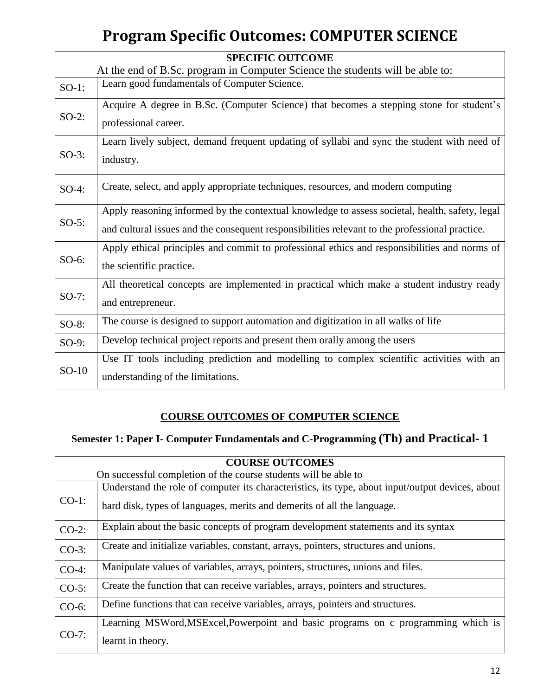# **Program Specific Outcomes: COMPUTER SCIENCE**

|                                                                               | <b>SPECIFIC OUTCOME</b>                                                                                                                                                                          |
|-------------------------------------------------------------------------------|--------------------------------------------------------------------------------------------------------------------------------------------------------------------------------------------------|
| At the end of B.Sc. program in Computer Science the students will be able to: |                                                                                                                                                                                                  |
| $SO-1$ :                                                                      | Learn good fundamentals of Computer Science.                                                                                                                                                     |
| $SO-2$ :                                                                      | Acquire A degree in B.Sc. (Computer Science) that becomes a stepping stone for student's<br>professional career.                                                                                 |
| $SO-3$ :                                                                      | Learn lively subject, demand frequent updating of syllabi and sync the student with need of<br>industry.                                                                                         |
| $SO-4$ :                                                                      | Create, select, and apply appropriate techniques, resources, and modern computing                                                                                                                |
| $SO-5$ :                                                                      | Apply reasoning informed by the contextual knowledge to assess societal, health, safety, legal<br>and cultural issues and the consequent responsibilities relevant to the professional practice. |
| $SO-6$ :                                                                      | Apply ethical principles and commit to professional ethics and responsibilities and norms of<br>the scientific practice.                                                                         |
| $SO-7$ :                                                                      | All theoretical concepts are implemented in practical which make a student industry ready<br>and entrepreneur.                                                                                   |
| $SO-8$ :                                                                      | The course is designed to support automation and digitization in all walks of life                                                                                                               |
| $SO-9$ :                                                                      | Develop technical project reports and present them orally among the users                                                                                                                        |
| $SO-10$                                                                       | Use IT tools including prediction and modelling to complex scientific activities with an<br>understanding of the limitations.                                                                    |

#### **COURSE OUTCOMES OF COMPUTER SCIENCE**

#### **Semester 1: Paper I- Computer Fundamentals and C-Programming (Th) and Practical- 1**

| <b>COURSE OUTCOMES</b> |                                                                                                                                                                             |
|------------------------|-----------------------------------------------------------------------------------------------------------------------------------------------------------------------------|
|                        | On successful completion of the course students will be able to                                                                                                             |
| $CO-1$ :               | Understand the role of computer its characteristics, its type, about input/output devices, about<br>hard disk, types of languages, merits and demerits of all the language. |
| $CO-2$ :               | Explain about the basic concepts of program development statements and its syntax                                                                                           |
| $CO-3$ :               | Create and initialize variables, constant, arrays, pointers, structures and unions.                                                                                         |
| $CO-4$ :               | Manipulate values of variables, arrays, pointers, structures, unions and files.                                                                                             |
| $CO-5$ :               | Create the function that can receive variables, arrays, pointers and structures.                                                                                            |
| $CO-6$ :               | Define functions that can receive variables, arrays, pointers and structures.                                                                                               |
| $CO-7$ :               | Learning MSWord, MSExcel, Powerpoint and basic programs on c programming which is<br>learnt in theory.                                                                      |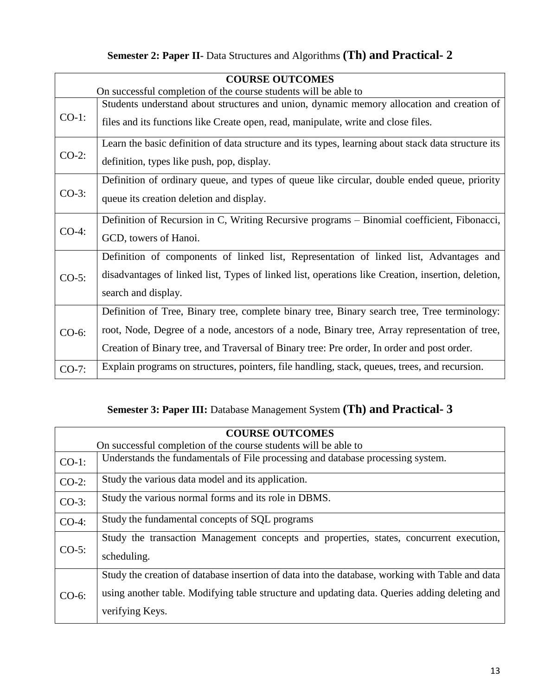| Semester 2: Paper II- Data Structures and Algorithms (Th) and Practical- 2 |  |
|----------------------------------------------------------------------------|--|
|----------------------------------------------------------------------------|--|

| <b>COURSE OUTCOMES</b> |                                                                                                     |  |
|------------------------|-----------------------------------------------------------------------------------------------------|--|
|                        | On successful completion of the course students will be able to                                     |  |
| $CO-1$ :               | Students understand about structures and union, dynamic memory allocation and creation of           |  |
|                        | files and its functions like Create open, read, manipulate, write and close files.                  |  |
|                        | Learn the basic definition of data structure and its types, learning about stack data structure its |  |
| $CO-2$ :               | definition, types like push, pop, display.                                                          |  |
|                        | Definition of ordinary queue, and types of queue like circular, double ended queue, priority        |  |
| $CO-3$ :               | queue its creation deletion and display.                                                            |  |
|                        | Definition of Recursion in C, Writing Recursive programs – Binomial coefficient, Fibonacci,         |  |
| $CO-4:$                | GCD, towers of Hanoi.                                                                               |  |
|                        | Definition of components of linked list, Representation of linked list, Advantages and              |  |
| $CO-5$ :               | disadvantages of linked list, Types of linked list, operations like Creation, insertion, deletion,  |  |
|                        | search and display.                                                                                 |  |
|                        | Definition of Tree, Binary tree, complete binary tree, Binary search tree, Tree terminology:        |  |
| CO-6:                  | root, Node, Degree of a node, ancestors of a node, Binary tree, Array representation of tree,       |  |
|                        | Creation of Binary tree, and Traversal of Binary tree: Pre order, In order and post order.          |  |
| $CO-7$ :               | Explain programs on structures, pointers, file handling, stack, queues, trees, and recursion.       |  |

### **Semester 3: Paper III:** Database Management System **(Th) and Practical- 3**

|          | <b>COURSE OUTCOMES</b>                                                                                                                                                                                              |  |
|----------|---------------------------------------------------------------------------------------------------------------------------------------------------------------------------------------------------------------------|--|
|          | On successful completion of the course students will be able to                                                                                                                                                     |  |
| $CO-1$ : | Understands the fundamentals of File processing and database processing system.                                                                                                                                     |  |
| $CO-2$ : | Study the various data model and its application.                                                                                                                                                                   |  |
| $CO-3$ : | Study the various normal forms and its role in DBMS.                                                                                                                                                                |  |
| $CO-4$ : | Study the fundamental concepts of SQL programs                                                                                                                                                                      |  |
| $CO-5$ : | Study the transaction Management concepts and properties, states, concurrent execution,<br>scheduling.                                                                                                              |  |
| $CO-6$ : | Study the creation of database insertion of data into the database, working with Table and data<br>using another table. Modifying table structure and updating data. Queries adding deleting and<br>verifying Keys. |  |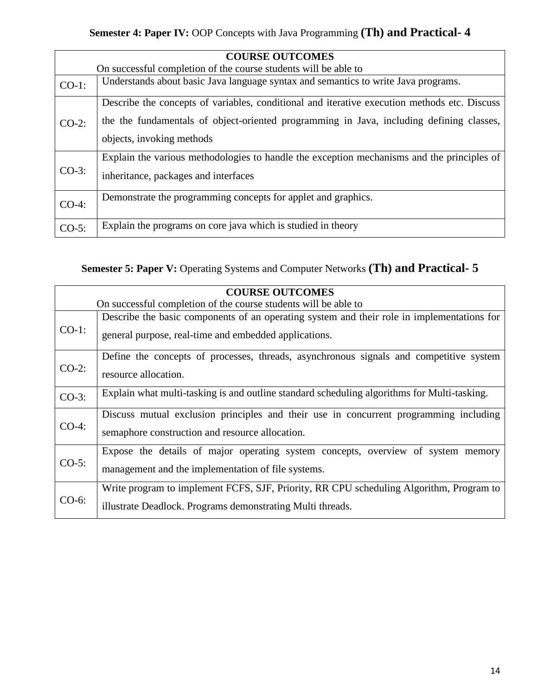| <b>COURSE OUTCOMES</b> |                                                                                                                                                                                          |  |
|------------------------|------------------------------------------------------------------------------------------------------------------------------------------------------------------------------------------|--|
|                        | On successful completion of the course students will be able to                                                                                                                          |  |
| $CO-1$ :               | Understands about basic Java language syntax and semantics to write Java programs.                                                                                                       |  |
| $CO-2$ :               | Describe the concepts of variables, conditional and iterative execution methods etc. Discuss<br>the the fundamentals of object-oriented programming in Java, including defining classes, |  |
|                        | objects, invoking methods                                                                                                                                                                |  |
| $CO-3$ :               | Explain the various methodologies to handle the exception mechanisms and the principles of<br>inheritance, packages and interfaces                                                       |  |
| $CO-4$ :               | Demonstrate the programming concepts for applet and graphics.                                                                                                                            |  |
| $CO-5$ :               | Explain the programs on core java which is studied in theory                                                                                                                             |  |

**Semester 5: Paper V:** Operating Systems and Computer Networks **(Th) and Practical- 5**

|          | <b>COURSE OUTCOMES</b>                                                                      |  |
|----------|---------------------------------------------------------------------------------------------|--|
|          | On successful completion of the course students will be able to                             |  |
|          | Describe the basic components of an operating system and their role in implementations for  |  |
| $CO-1$ : | general purpose, real-time and embedded applications.                                       |  |
|          | Define the concepts of processes, threads, asynchronous signals and competitive system      |  |
| $CO-2$ : | resource allocation.                                                                        |  |
| $CO-3$ : | Explain what multi-tasking is and outline standard scheduling algorithms for Multi-tasking. |  |
|          | Discuss mutual exclusion principles and their use in concurrent programming including       |  |
| $CO-4$ : | semaphore construction and resource allocation.                                             |  |
| $CO-5$ : | Expose the details of major operating system concepts, overview of system memory            |  |
|          | management and the implementation of file systems.                                          |  |
| $CO-6$ : | Write program to implement FCFS, SJF, Priority, RR CPU scheduling Algorithm, Program to     |  |
|          | illustrate Deadlock. Programs demonstrating Multi threads.                                  |  |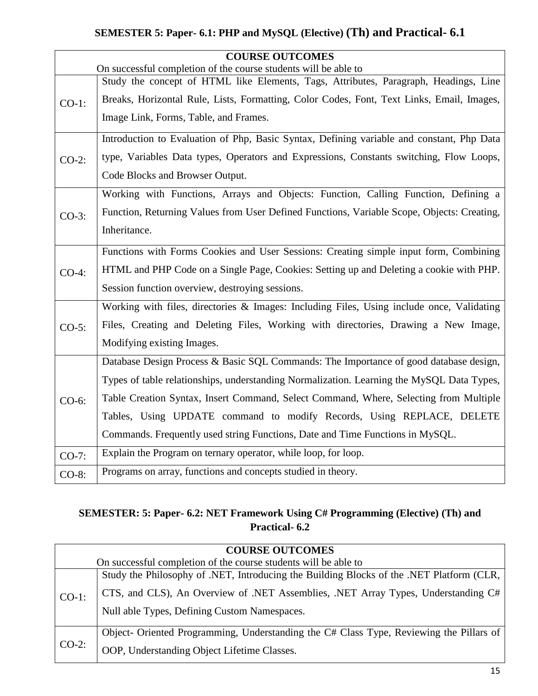#### **SEMESTER 5: Paper- 6.1: PHP and MySQL (Elective) (Th) and Practical- 6.1**

|          | <b>COURSE OUTCOMES</b>                                                                     |
|----------|--------------------------------------------------------------------------------------------|
|          | On successful completion of the course students will be able to                            |
| $CO-1$ : | Study the concept of HTML like Elements, Tags, Attributes, Paragraph, Headings, Line       |
|          | Breaks, Horizontal Rule, Lists, Formatting, Color Codes, Font, Text Links, Email, Images,  |
|          | Image Link, Forms, Table, and Frames.                                                      |
|          | Introduction to Evaluation of Php, Basic Syntax, Defining variable and constant, Php Data  |
| $CO-2$ : | type, Variables Data types, Operators and Expressions, Constants switching, Flow Loops,    |
|          | Code Blocks and Browser Output.                                                            |
|          | Working with Functions, Arrays and Objects: Function, Calling Function, Defining a         |
| $CO-3$ : | Function, Returning Values from User Defined Functions, Variable Scope, Objects: Creating, |
|          | Inheritance.                                                                               |
|          | Functions with Forms Cookies and User Sessions: Creating simple input form, Combining      |
| $CO-4$ : | HTML and PHP Code on a Single Page, Cookies: Setting up and Deleting a cookie with PHP.    |
|          | Session function overview, destroying sessions.                                            |
|          | Working with files, directories & Images: Including Files, Using include once, Validating  |
| $CO-5$ : | Files, Creating and Deleting Files, Working with directories, Drawing a New Image,         |
|          | Modifying existing Images.                                                                 |
|          | Database Design Process & Basic SQL Commands: The Importance of good database design,      |
|          | Types of table relationships, understanding Normalization. Learning the MySQL Data Types,  |
| $CO-6$ : | Table Creation Syntax, Insert Command, Select Command, Where, Selecting from Multiple      |
|          | Tables, Using UPDATE command to modify Records, Using REPLACE, DELETE                      |
|          | Commands. Frequently used string Functions, Date and Time Functions in MySQL.              |
| $CO-7$ : | Explain the Program on ternary operator, while loop, for loop.                             |
| CO-8:    | Programs on array, functions and concepts studied in theory.                               |

#### **SEMESTER: 5: Paper- 6.2: NET Framework Using C# Programming (Elective) (Th) and Practical- 6.2**

| <b>COURSE OUTCOMES</b> |                                                                                          |  |
|------------------------|------------------------------------------------------------------------------------------|--|
|                        | On successful completion of the course students will be able to                          |  |
| $CO-1$ :               | Study the Philosophy of .NET, Introducing the Building Blocks of the .NET Platform (CLR, |  |
|                        | CTS, and CLS), An Overview of .NET Assemblies, .NET Array Types, Understanding C#        |  |
|                        | Null able Types, Defining Custom Namespaces.                                             |  |
| $CO-2$ :               | Object- Oriented Programming, Understanding the C# Class Type, Reviewing the Pillars of  |  |
|                        | OOP, Understanding Object Lifetime Classes.                                              |  |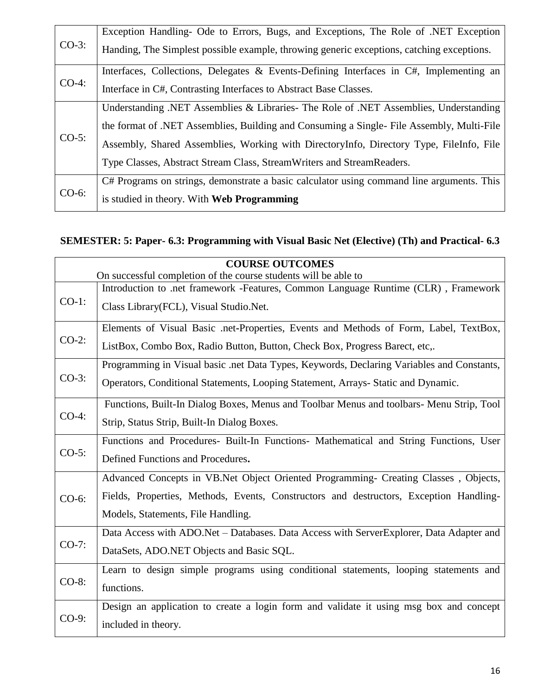| $CO-3$ : | Exception Handling- Ode to Errors, Bugs, and Exceptions, The Role of .NET Exception       |
|----------|-------------------------------------------------------------------------------------------|
|          | Handing, The Simplest possible example, throwing generic exceptions, catching exceptions. |
| $CO-4$ : | Interfaces, Collections, Delegates & Events-Defining Interfaces in C#, Implementing an    |
|          | Interface in C#, Contrasting Interfaces to Abstract Base Classes.                         |
| $CO-5$ : | Understanding .NET Assemblies & Libraries - The Role of .NET Assemblies, Understanding    |
|          | the format of .NET Assemblies, Building and Consuming a Single- File Assembly, Multi-File |
|          | Assembly, Shared Assemblies, Working with DirectoryInfo, Directory Type, FileInfo, File   |
|          | Type Classes, Abstract Stream Class, Stream Writers and Stream Readers.                   |
| $CO-6$ : | C# Programs on strings, demonstrate a basic calculator using command line arguments. This |
|          | is studied in theory. With Web Programming                                                |

#### **SEMESTER: 5: Paper- 6.3: Programming with Visual Basic Net (Elective) (Th) and Practical- 6.3**

|          | <b>COURSE OUTCOMES</b>                                                                    |  |
|----------|-------------------------------------------------------------------------------------------|--|
|          | On successful completion of the course students will be able to                           |  |
| $CO-1$ : | Introduction to .net framework -Features, Common Language Runtime (CLR), Framework        |  |
|          | Class Library (FCL), Visual Studio. Net.                                                  |  |
| $CO-2$ : | Elements of Visual Basic .net-Properties, Events and Methods of Form, Label, TextBox,     |  |
|          | ListBox, Combo Box, Radio Button, Button, Check Box, Progress Barect, etc,.               |  |
|          | Programming in Visual basic .net Data Types, Keywords, Declaring Variables and Constants, |  |
| $CO-3$ : | Operators, Conditional Statements, Looping Statement, Arrays- Static and Dynamic.         |  |
|          | Functions, Built-In Dialog Boxes, Menus and Toolbar Menus and toolbars- Menu Strip, Tool  |  |
| $CO-4$ : | Strip, Status Strip, Built-In Dialog Boxes.                                               |  |
|          | Functions and Procedures- Built-In Functions- Mathematical and String Functions, User     |  |
| $CO-5$ : | Defined Functions and Procedures.                                                         |  |
|          | Advanced Concepts in VB.Net Object Oriented Programming- Creating Classes, Objects,       |  |
| $CO-6$ : | Fields, Properties, Methods, Events, Constructors and destructors, Exception Handling-    |  |
|          | Models, Statements, File Handling.                                                        |  |
|          | Data Access with ADO.Net - Databases. Data Access with ServerExplorer, Data Adapter and   |  |
| $CO-7$ : | DataSets, ADO.NET Objects and Basic SQL.                                                  |  |
| CO-8:    | Learn to design simple programs using conditional statements, looping statements and      |  |
|          | functions.                                                                                |  |
| $CO-9:$  | Design an application to create a login form and validate it using msg box and concept    |  |
|          | included in theory.                                                                       |  |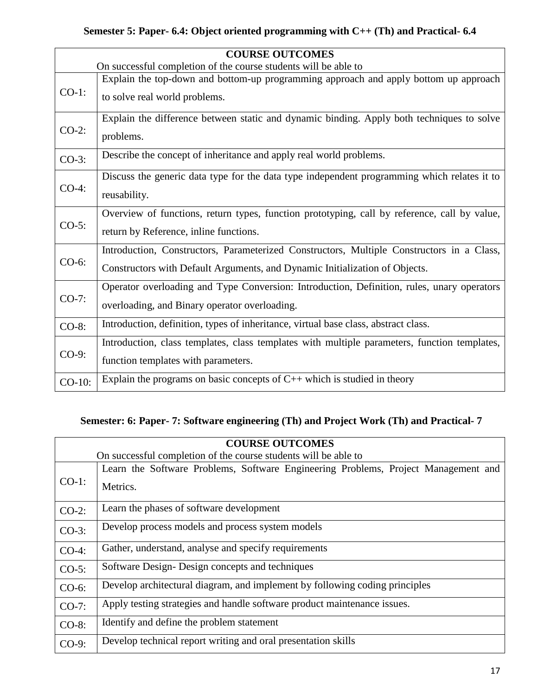#### **Semester 5: Paper- 6.4: Object oriented programming with C++ (Th) and Practical- 6.4**

|          | <b>COURSE OUTCOMES</b>                                                                       |  |
|----------|----------------------------------------------------------------------------------------------|--|
|          | On successful completion of the course students will be able to                              |  |
| $CO-1$ : | Explain the top-down and bottom-up programming approach and apply bottom up approach         |  |
|          | to solve real world problems.                                                                |  |
|          | Explain the difference between static and dynamic binding. Apply both techniques to solve    |  |
| $CO-2$ : | problems.                                                                                    |  |
| $CO-3$ : | Describe the concept of inheritance and apply real world problems.                           |  |
|          | Discuss the generic data type for the data type independent programming which relates it to  |  |
| $CO-4$ : | reusability.                                                                                 |  |
|          | Overview of functions, return types, function prototyping, call by reference, call by value, |  |
| $CO-5$ : | return by Reference, inline functions.                                                       |  |
|          | Introduction, Constructors, Parameterized Constructors, Multiple Constructors in a Class,    |  |
| $CO-6$ : | Constructors with Default Arguments, and Dynamic Initialization of Objects.                  |  |
|          | Operator overloading and Type Conversion: Introduction, Definition, rules, unary operators   |  |
| $CO-7$ : | overloading, and Binary operator overloading.                                                |  |
| $CO-8$ : | Introduction, definition, types of inheritance, virtual base class, abstract class.          |  |
|          | Introduction, class templates, class templates with multiple parameters, function templates, |  |
| $CO-9$ : | function templates with parameters.                                                          |  |
| CO-10:   | Explain the programs on basic concepts of $C_{++}$ which is studied in theory                |  |

#### **Semester: 6: Paper- 7: Software engineering (Th) and Project Work (Th) and Practical- 7**

| <b>COURSE OUTCOMES</b> |                                                                                                |  |
|------------------------|------------------------------------------------------------------------------------------------|--|
|                        | On successful completion of the course students will be able to                                |  |
| $CO-1$ :               | Learn the Software Problems, Software Engineering Problems, Project Management and<br>Metrics. |  |
| $CO-2$ :               | Learn the phases of software development                                                       |  |
| $CO-3$ :               | Develop process models and process system models                                               |  |
| $CO-4$ :               | Gather, understand, analyse and specify requirements                                           |  |
| $CO-5$ :               | Software Design-Design concepts and techniques                                                 |  |
| $CO-6$ :               | Develop architectural diagram, and implement by following coding principles                    |  |
| $CO-7$ :               | Apply testing strategies and handle software product maintenance issues.                       |  |
| CO-8:                  | Identify and define the problem statement                                                      |  |
| $CO-9$ :               | Develop technical report writing and oral presentation skills                                  |  |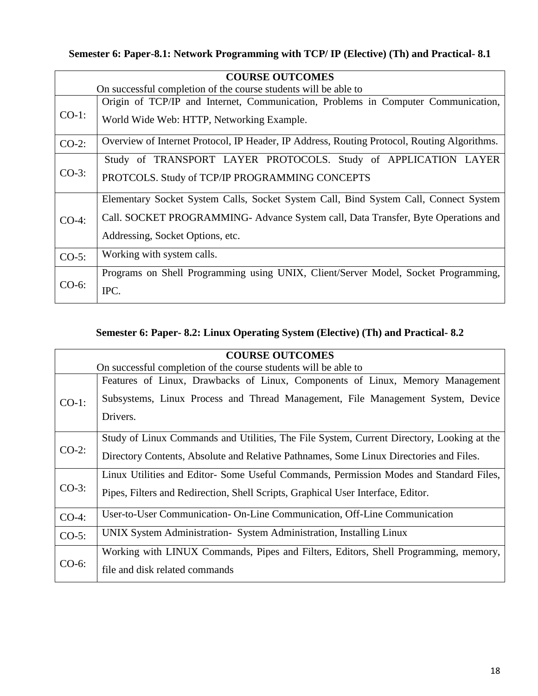### **Semester 6: Paper-8.1: Network Programming with TCP/ IP (Elective) (Th) and Practical- 8.1**

| <b>COURSE OUTCOMES</b>                                          |                                                                                             |
|-----------------------------------------------------------------|---------------------------------------------------------------------------------------------|
| On successful completion of the course students will be able to |                                                                                             |
|                                                                 | Origin of TCP/IP and Internet, Communication, Problems in Computer Communication,           |
| $CO-1$ :                                                        | World Wide Web: HTTP, Networking Example.                                                   |
| $CO-2$ :                                                        | Overview of Internet Protocol, IP Header, IP Address, Routing Protocol, Routing Algorithms. |
| $CO-3$ :                                                        | Study of TRANSPORT LAYER PROTOCOLS. Study of APPLICATION LAYER                              |
|                                                                 | PROTCOLS. Study of TCP/IP PROGRAMMING CONCEPTS                                              |
| $CO-4:$                                                         | Elementary Socket System Calls, Socket System Call, Bind System Call, Connect System        |
|                                                                 | Call. SOCKET PROGRAMMING-Advance System call, Data Transfer, Byte Operations and            |
|                                                                 | Addressing, Socket Options, etc.                                                            |
| $CO-5$ :                                                        | Working with system calls.                                                                  |
| $CO-6$ :                                                        | Programs on Shell Programming using UNIX, Client/Server Model, Socket Programming,          |
|                                                                 | IPC.                                                                                        |

#### **Semester 6: Paper- 8.2: Linux Operating System (Elective) (Th) and Practical- 8.2**

| <b>COURSE OUTCOMES</b> |                                                                                                                                                                  |  |
|------------------------|------------------------------------------------------------------------------------------------------------------------------------------------------------------|--|
|                        | On successful completion of the course students will be able to                                                                                                  |  |
| $CO-1$ :               | Features of Linux, Drawbacks of Linux, Components of Linux, Memory Management<br>Subsystems, Linux Process and Thread Management, File Management System, Device |  |
|                        | Drivers.                                                                                                                                                         |  |
| $CO-2$ :               | Study of Linux Commands and Utilities, The File System, Current Directory, Looking at the                                                                        |  |
|                        | Directory Contents, Absolute and Relative Pathnames, Some Linux Directories and Files.                                                                           |  |
| $CO-3$ :               | Linux Utilities and Editor-Some Useful Commands, Permission Modes and Standard Files,                                                                            |  |
|                        | Pipes, Filters and Redirection, Shell Scripts, Graphical User Interface, Editor.                                                                                 |  |
| $CO-4$ :               | User-to-User Communication-On-Line Communication, Off-Line Communication                                                                                         |  |
| $CO-5$ :               | UNIX System Administration- System Administration, Installing Linux                                                                                              |  |
| $CO-6$ :               | Working with LINUX Commands, Pipes and Filters, Editors, Shell Programming, memory,                                                                              |  |
|                        | file and disk related commands                                                                                                                                   |  |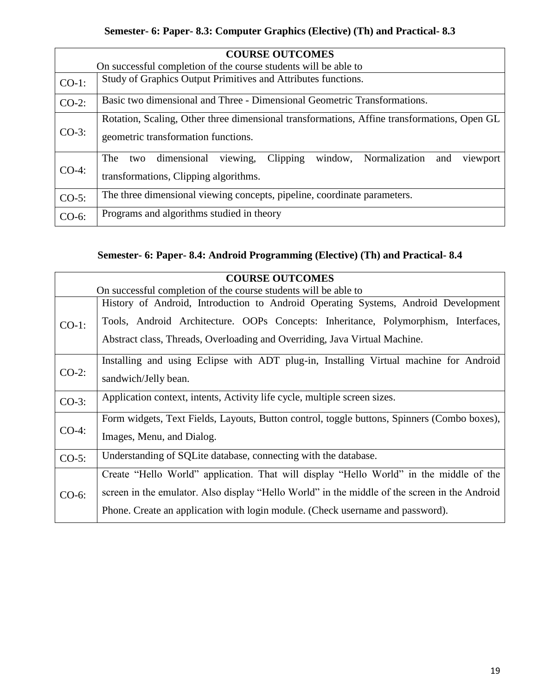#### **Semester- 6: Paper- 8.3: Computer Graphics (Elective) (Th) and Practical- 8.3**

|          | <b>COURSE OUTCOMES</b>                                                                      |  |
|----------|---------------------------------------------------------------------------------------------|--|
|          | On successful completion of the course students will be able to                             |  |
| $CO-1$ : | Study of Graphics Output Primitives and Attributes functions.                               |  |
| $CO-2$ : | Basic two dimensional and Three - Dimensional Geometric Transformations.                    |  |
|          | Rotation, Scaling, Other three dimensional transformations, Affine transformations, Open GL |  |
| $CO-3$ : | geometric transformation functions.                                                         |  |
| $CO-4$ : | viewing,<br>Clipping<br>window, Normalization and<br>dimensional<br>The<br>viewport<br>two  |  |
|          | transformations, Clipping algorithms.                                                       |  |
| $CO-5$ : | The three dimensional viewing concepts, pipeline, coordinate parameters.                    |  |
| CO-6:    | Programs and algorithms studied in theory                                                   |  |

#### **Semester- 6: Paper- 8.4: Android Programming (Elective) (Th) and Practical- 8.4**

| <b>COURSE OUTCOMES</b> |                                                                                               |  |
|------------------------|-----------------------------------------------------------------------------------------------|--|
|                        | On successful completion of the course students will be able to                               |  |
| $CO-1$ :               | History of Android, Introduction to Android Operating Systems, Android Development            |  |
|                        | Tools, Android Architecture. OOPs Concepts: Inheritance, Polymorphism, Interfaces,            |  |
|                        | Abstract class, Threads, Overloading and Overriding, Java Virtual Machine.                    |  |
|                        | Installing and using Eclipse with ADT plug-in, Installing Virtual machine for Android         |  |
| $CO-2$ :               | sandwich/Jelly bean.                                                                          |  |
| $CO-3$ :               | Application context, intents, Activity life cycle, multiple screen sizes.                     |  |
| $CO-4:$                | Form widgets, Text Fields, Layouts, Button control, toggle buttons, Spinners (Combo boxes),   |  |
|                        | Images, Menu, and Dialog.                                                                     |  |
| $CO-5$ :               | Understanding of SQLite database, connecting with the database.                               |  |
| $CO-6$ :               | Create "Hello World" application. That will display "Hello World" in the middle of the        |  |
|                        | screen in the emulator. Also display "Hello World" in the middle of the screen in the Android |  |
|                        | Phone. Create an application with login module. (Check username and password).                |  |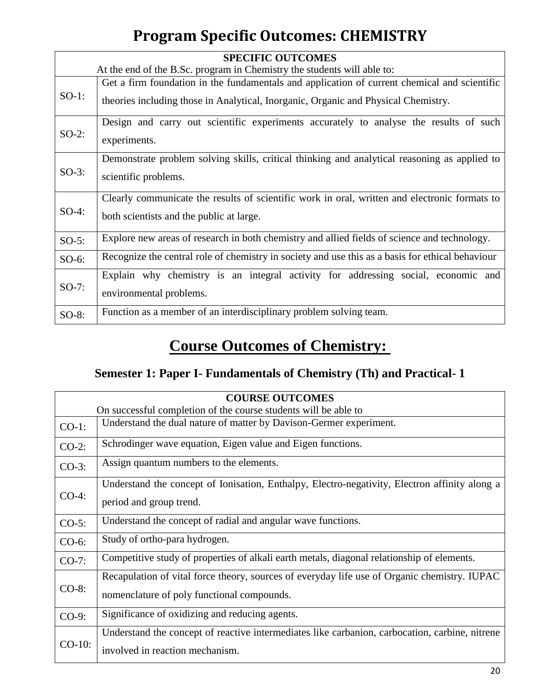# **Program Specific Outcomes: CHEMISTRY**

| <b>SPECIFIC OUTCOMES</b> |                                                                                                                                                                                    |  |
|--------------------------|------------------------------------------------------------------------------------------------------------------------------------------------------------------------------------|--|
|                          | At the end of the B.Sc. program in Chemistry the students will able to:                                                                                                            |  |
| $SO-1$ :                 | Get a firm foundation in the fundamentals and application of current chemical and scientific<br>theories including those in Analytical, Inorganic, Organic and Physical Chemistry. |  |
| $SO-2$ :                 | Design and carry out scientific experiments accurately to analyse the results of such<br>experiments.                                                                              |  |
| $SO-3$ :                 | Demonstrate problem solving skills, critical thinking and analytical reasoning as applied to<br>scientific problems.                                                               |  |
| $SO-4$ :                 | Clearly communicate the results of scientific work in oral, written and electronic formats to<br>both scientists and the public at large.                                          |  |
| $SO-5$ :                 | Explore new areas of research in both chemistry and allied fields of science and technology.                                                                                       |  |
| $SO-6$ :                 | Recognize the central role of chemistry in society and use this as a basis for ethical behaviour                                                                                   |  |
| $SO-7$ :                 | Explain why chemistry is an integral activity for addressing social, economic and<br>environmental problems.                                                                       |  |
| $SO-8$ :                 | Function as a member of an interdisciplinary problem solving team.                                                                                                                 |  |

# **Course Outcomes of Chemistry:**

### **Semester 1: Paper I- Fundamentals of Chemistry (Th) and Practical- 1**

| <b>COURSE OUTCOMES</b> |                                                                                                |  |
|------------------------|------------------------------------------------------------------------------------------------|--|
|                        | On successful completion of the course students will be able to                                |  |
| $CO-1$ :               | Understand the dual nature of matter by Davison-Germer experiment.                             |  |
| $CO-2$ :               | Schrodinger wave equation, Eigen value and Eigen functions.                                    |  |
| $CO-3$ :               | Assign quantum numbers to the elements.                                                        |  |
|                        | Understand the concept of Ionisation, Enthalpy, Electro-negativity, Electron affinity along a  |  |
| $CO-4$ :               | period and group trend.                                                                        |  |
| $CO-5$ :               | Understand the concept of radial and angular wave functions.                                   |  |
| $CO-6$ :               | Study of ortho-para hydrogen.                                                                  |  |
| $CO-7$ :               | Competitive study of properties of alkali earth metals, diagonal relationship of elements.     |  |
|                        | Recapulation of vital force theory, sources of everyday life use of Organic chemistry. IUPAC   |  |
| $CO-8$ :               | nomenclature of poly functional compounds.                                                     |  |
| CO-9:                  | Significance of oxidizing and reducing agents.                                                 |  |
| $CO-10$ :              | Understand the concept of reactive intermediates like carbanion, carbocation, carbine, nitrene |  |
|                        | involved in reaction mechanism.                                                                |  |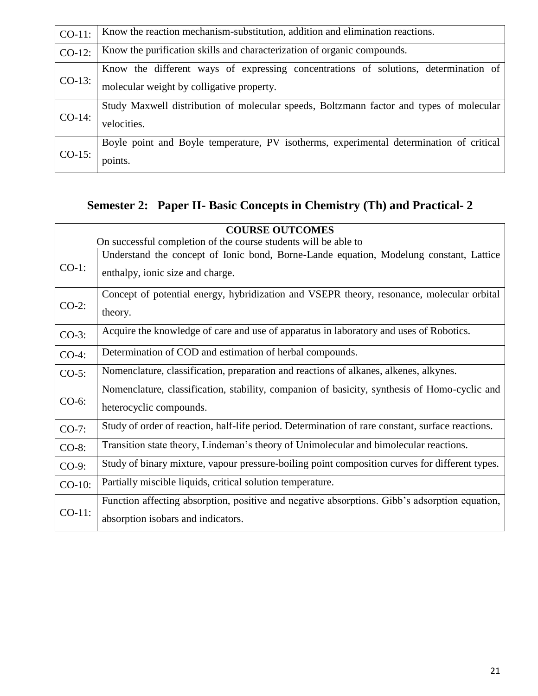| $CO-11$ : | Know the reaction mechanism-substitution, addition and elimination reactions.           |
|-----------|-----------------------------------------------------------------------------------------|
| $CO-12$ : | Know the purification skills and characterization of organic compounds.                 |
| $CO-13$ : | Know the different ways of expressing concentrations of solutions, determination of     |
|           | molecular weight by colligative property.                                               |
| $CO-14$ : | Study Maxwell distribution of molecular speeds, Boltzmann factor and types of molecular |
|           | velocities.                                                                             |
| $CO-15$ : | Boyle point and Boyle temperature, PV isotherms, experimental determination of critical |
|           | points.                                                                                 |

### **Semester 2: Paper II- Basic Concepts in Chemistry (Th) and Practical- 2**

| <b>COURSE OUTCOMES</b> |                                                                                                                                     |
|------------------------|-------------------------------------------------------------------------------------------------------------------------------------|
|                        | On successful completion of the course students will be able to                                                                     |
| $CO-1$ :               | Understand the concept of Ionic bond, Borne-Lande equation, Modelung constant, Lattice<br>enthalpy, ionic size and charge.          |
| $CO-2$ :               | Concept of potential energy, hybridization and VSEPR theory, resonance, molecular orbital<br>theory.                                |
| $CO-3$ :               | Acquire the knowledge of care and use of apparatus in laboratory and uses of Robotics.                                              |
| $CO-4$ :               | Determination of COD and estimation of herbal compounds.                                                                            |
| $CO-5$ :               | Nomenclature, classification, preparation and reactions of alkanes, alkenes, alkynes.                                               |
| $CO-6$ :               | Nomenclature, classification, stability, companion of basicity, synthesis of Homo-cyclic and<br>heterocyclic compounds.             |
| $CO-7$ :               | Study of order of reaction, half-life period. Determination of rare constant, surface reactions.                                    |
| $CO-8$ :               | Transition state theory, Lindeman's theory of Unimolecular and bimolecular reactions.                                               |
| $CO-9$ :               | Study of binary mixture, vapour pressure-boiling point composition curves for different types.                                      |
| $CO-10$ :              | Partially miscible liquids, critical solution temperature.                                                                          |
| $CO-11$ :              | Function affecting absorption, positive and negative absorptions. Gibb's adsorption equation,<br>absorption isobars and indicators. |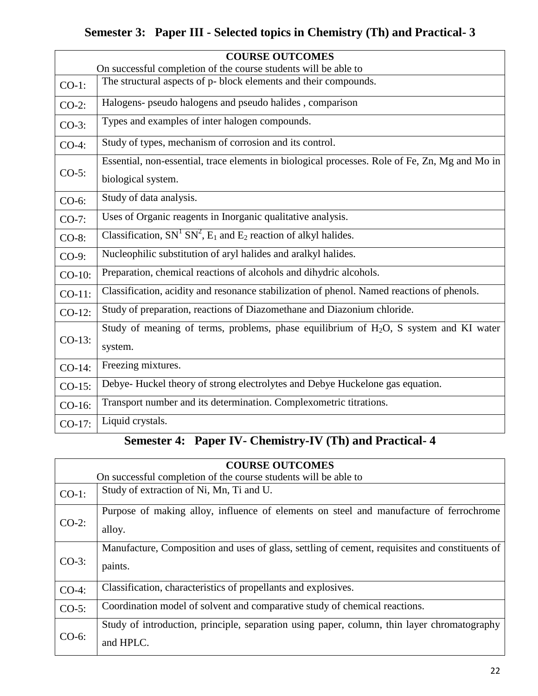### **Semester 3: Paper III - Selected topics in Chemistry (Th) and Practical- 3**

|           | <b>COURSE OUTCOMES</b>                                                                         |  |
|-----------|------------------------------------------------------------------------------------------------|--|
|           | On successful completion of the course students will be able to                                |  |
| $CO-1$ :  | The structural aspects of p- block elements and their compounds.                               |  |
| $CO-2$ :  | Halogens- pseudo halogens and pseudo halides, comparison                                       |  |
| $CO-3$ :  | Types and examples of inter halogen compounds.                                                 |  |
| $CO-4$ :  | Study of types, mechanism of corrosion and its control.                                        |  |
|           | Essential, non-essential, trace elements in biological processes. Role of Fe, Zn, Mg and Mo in |  |
| $CO-5$ :  | biological system.                                                                             |  |
| $CO-6$ :  | Study of data analysis.                                                                        |  |
| $CO-7$ :  | Uses of Organic reagents in Inorganic qualitative analysis.                                    |  |
| $CO-8$ :  | Classification, $SN1 SN2$ , $E1$ and $E2$ reaction of alkyl halides.                           |  |
| $CO-9$ :  | Nucleophilic substitution of aryl halides and aralkyl halides.                                 |  |
| $CO-10$ : | Preparation, chemical reactions of alcohols and dihydric alcohols.                             |  |
| $CO-11$ : | Classification, acidity and resonance stabilization of phenol. Named reactions of phenols.     |  |
| $CO-12$ : | Study of preparation, reactions of Diazomethane and Diazonium chloride.                        |  |
|           | Study of meaning of terms, problems, phase equilibrium of $H_2O$ , S system and KI water       |  |
| $CO-13$ : | system.                                                                                        |  |
| $CO-14$ : | Freezing mixtures.                                                                             |  |
| $CO-15$ : | Debye-Huckel theory of strong electrolytes and Debye Huckelone gas equation.                   |  |
| CO-16:    | Transport number and its determination. Complexometric titrations.                             |  |
| CO-17:    | Liquid crystals.                                                                               |  |

### **Semester 4: Paper IV- Chemistry-IV (Th) and Practical- 4**

| <b>COURSE OUTCOMES</b> |                                                                                                           |  |
|------------------------|-----------------------------------------------------------------------------------------------------------|--|
|                        | On successful completion of the course students will be able to                                           |  |
| $CO-1$ :               | Study of extraction of Ni, Mn, Ti and U.                                                                  |  |
| $CO-2$ :               | Purpose of making alloy, influence of elements on steel and manufacture of ferrochrome<br>alloy.          |  |
| $CO-3$ :               | Manufacture, Composition and uses of glass, settling of cement, requisites and constituents of<br>paints. |  |
| $CO-4$ :               | Classification, characteristics of propellants and explosives.                                            |  |
| $CO-5$ :               | Coordination model of solvent and comparative study of chemical reactions.                                |  |
| $CO-6$ :               | Study of introduction, principle, separation using paper, column, thin layer chromatography<br>and HPLC.  |  |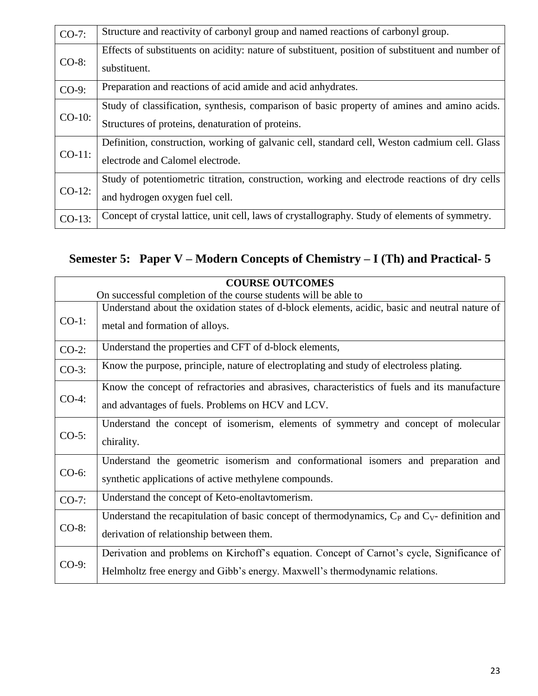| $CO-7$ :  | Structure and reactivity of carbonyl group and named reactions of carbonyl group.                                                                |
|-----------|--------------------------------------------------------------------------------------------------------------------------------------------------|
| $CO-8$ :  | Effects of substituents on acidity: nature of substituent, position of substituent and number of<br>substituent.                                 |
| $CO-9$ :  | Preparation and reactions of acid amide and acid anhydrates.                                                                                     |
| $CO-10$ : | Study of classification, synthesis, comparison of basic property of amines and amino acids.<br>Structures of proteins, denaturation of proteins. |
| $CO-11$ : | Definition, construction, working of galvanic cell, standard cell, Weston cadmium cell. Glass<br>electrode and Calomel electrode.                |
| $CO-12$ : | Study of potentiometric titration, construction, working and electrode reactions of dry cells<br>and hydrogen oxygen fuel cell.                  |
| $CO-13$ : | Concept of crystal lattice, unit cell, laws of crystallography. Study of elements of symmetry.                                                   |

### **Semester 5: Paper V – Modern Concepts of Chemistry – I (Th) and Practical- 5**

|          | <b>COURSE OUTCOMES</b>                                                                             |  |
|----------|----------------------------------------------------------------------------------------------------|--|
|          | On successful completion of the course students will be able to                                    |  |
| $CO-1$ : | Understand about the oxidation states of d-block elements, acidic, basic and neutral nature of     |  |
|          | metal and formation of alloys.                                                                     |  |
| $CO-2$ : | Understand the properties and CFT of d-block elements,                                             |  |
| $CO-3$ : | Know the purpose, principle, nature of electroplating and study of electroless plating.            |  |
|          | Know the concept of refractories and abrasives, characteristics of fuels and its manufacture       |  |
| $CO-4$ : | and advantages of fuels. Problems on HCV and LCV.                                                  |  |
|          | Understand the concept of isomerism, elements of symmetry and concept of molecular                 |  |
| $CO-5$ : | chirality.                                                                                         |  |
|          | Understand the geometric isomerism and conformational isomers and preparation and                  |  |
| $CO-6$ : | synthetic applications of active methylene compounds.                                              |  |
| $CO-7$ : | Understand the concept of Keto-enoltavtomerism.                                                    |  |
| $CO-8$ : | Understand the recapitulation of basic concept of thermodynamics, $C_P$ and $C_V$ - definition and |  |
|          | derivation of relationship between them.                                                           |  |
| $CO-9$ : | Derivation and problems on Kirchoff's equation. Concept of Carnot's cycle, Significance of         |  |
|          | Helmholtz free energy and Gibb's energy. Maxwell's thermodynamic relations.                        |  |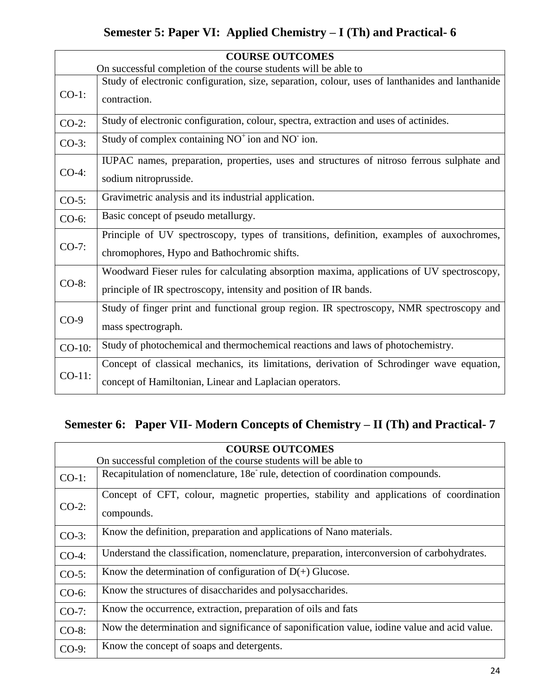### **Semester 5: Paper VI: Applied Chemistry – I (Th) and Practical- 6**

| <b>COURSE OUTCOMES</b> |                                                                                                 |
|------------------------|-------------------------------------------------------------------------------------------------|
|                        | On successful completion of the course students will be able to                                 |
|                        | Study of electronic configuration, size, separation, colour, uses of lanthanides and lanthanide |
| $CO-1$ :               | contraction.                                                                                    |
| $CO-2$ :               | Study of electronic configuration, colour, spectra, extraction and uses of actinides.           |
| $CO-3$ :               | Study of complex containing NO <sup>+</sup> ion and NO <sup>-</sup> ion.                        |
|                        | IUPAC names, preparation, properties, uses and structures of nitroso ferrous sulphate and       |
| $CO-4$ :               | sodium nitroprusside.                                                                           |
| $CO-5$ :               | Gravimetric analysis and its industrial application.                                            |
| $CO-6$ :               | Basic concept of pseudo metallurgy.                                                             |
|                        | Principle of UV spectroscopy, types of transitions, definition, examples of auxochromes,        |
| $CO-7$ :               | chromophores, Hypo and Bathochromic shifts.                                                     |
|                        | Woodward Fieser rules for calculating absorption maxima, applications of UV spectroscopy,       |
| $CO-8$ :               | principle of IR spectroscopy, intensity and position of IR bands.                               |
|                        | Study of finger print and functional group region. IR spectroscopy, NMR spectroscopy and        |
| $CO-9$                 | mass spectrograph.                                                                              |
| $CO-10$ :              | Study of photochemical and thermochemical reactions and laws of photochemistry.                 |
| CO-11:                 | Concept of classical mechanics, its limitations, derivation of Schrodinger wave equation,       |
|                        | concept of Hamiltonian, Linear and Laplacian operators.                                         |

# **Semester 6: Paper VII- Modern Concepts of Chemistry – II (Th) and Practical- 7**

| <b>COURSE OUTCOMES</b> |                                                                                                       |  |
|------------------------|-------------------------------------------------------------------------------------------------------|--|
|                        | On successful completion of the course students will be able to                                       |  |
| $CO-1$ :               | Recapitulation of nomenclature, 18e rule, detection of coordination compounds.                        |  |
| $CO-2$ :               | Concept of CFT, colour, magnetic properties, stability and applications of coordination<br>compounds. |  |
| $CO-3$ :               | Know the definition, preparation and applications of Nano materials.                                  |  |
| $CO-4$ :               | Understand the classification, nomenclature, preparation, interconversion of carbohydrates.           |  |
| $CO-5$ :               | Know the determination of configuration of $D(+)$ Glucose.                                            |  |
| $CO-6$ :               | Know the structures of disaccharides and polysaccharides.                                             |  |
| $CO-7$ :               | Know the occurrence, extraction, preparation of oils and fats                                         |  |
| $CO-8$ :               | Now the determination and significance of saponification value, iodine value and acid value.          |  |
| $CO-9$ :               | Know the concept of soaps and detergents.                                                             |  |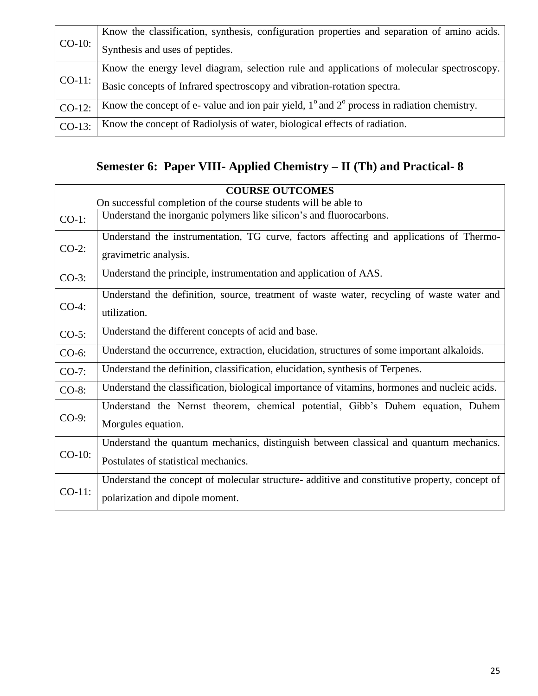| $CO-10$ : | Know the classification, synthesis, configuration properties and separation of amino acids.                  |
|-----------|--------------------------------------------------------------------------------------------------------------|
|           | Synthesis and uses of peptides.                                                                              |
|           | Know the energy level diagram, selection rule and applications of molecular spectroscopy.                    |
| $CO-11$ : | Basic concepts of Infrared spectroscopy and vibration-rotation spectra.                                      |
| $CO-12$ : | Know the concept of e- value and ion pair yield, $1^{\circ}$ and $2^{\circ}$ process in radiation chemistry. |
| $CO-13$ : | Know the concept of Radiolysis of water, biological effects of radiation.                                    |

# **Semester 6: Paper VIII- Applied Chemistry – II (Th) and Practical- 8**

| <b>COURSE OUTCOMES</b> |                                                                                               |
|------------------------|-----------------------------------------------------------------------------------------------|
|                        | On successful completion of the course students will be able to                               |
| $CO-1$ :               | Understand the inorganic polymers like silicon's and fluorocarbons.                           |
| $CO-2$ :               | Understand the instrumentation, TG curve, factors affecting and applications of Thermo-       |
|                        | gravimetric analysis.                                                                         |
| $CO-3$ :               | Understand the principle, instrumentation and application of AAS.                             |
|                        | Understand the definition, source, treatment of waste water, recycling of waste water and     |
| $CO-4$ :               | utilization.                                                                                  |
| $CO-5$ :               | Understand the different concepts of acid and base.                                           |
| CO-6:                  | Understand the occurrence, extraction, elucidation, structures of some important alkaloids.   |
| $CO-7$ :               | Understand the definition, classification, elucidation, synthesis of Terpenes.                |
| $CO-8$ :               | Understand the classification, biological importance of vitamins, hormones and nucleic acids. |
| $CO-9$ :               | Understand the Nernst theorem, chemical potential, Gibb's Duhem equation, Duhem               |
|                        | Morgules equation.                                                                            |
| $CO-10$ :              | Understand the quantum mechanics, distinguish between classical and quantum mechanics.        |
|                        | Postulates of statistical mechanics.                                                          |
| $CO-11$ :              | Understand the concept of molecular structure- additive and constitutive property, concept of |
|                        | polarization and dipole moment.                                                               |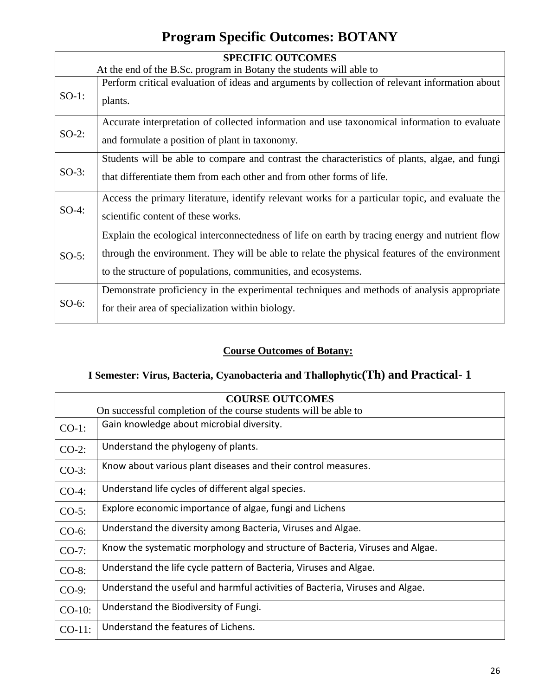### **Program Specific Outcomes: BOTANY**

| <b>SPECIFIC OUTCOMES</b> |                                                                                                 |
|--------------------------|-------------------------------------------------------------------------------------------------|
|                          | At the end of the B.Sc. program in Botany the students will able to                             |
| $SO-1$ :                 | Perform critical evaluation of ideas and arguments by collection of relevant information about  |
|                          | plants.                                                                                         |
|                          | Accurate interpretation of collected information and use taxonomical information to evaluate    |
| $SO-2$ :                 | and formulate a position of plant in taxonomy.                                                  |
|                          | Students will be able to compare and contrast the characteristics of plants, algae, and fungi   |
| $SO-3$ :                 | that differentiate them from each other and from other forms of life.                           |
|                          | Access the primary literature, identify relevant works for a particular topic, and evaluate the |
| $SO-4$ :                 | scientific content of these works.                                                              |
| $SO-5$ :                 | Explain the ecological interconnectedness of life on earth by tracing energy and nutrient flow  |
|                          | through the environment. They will be able to relate the physical features of the environment   |
|                          | to the structure of populations, communities, and ecosystems.                                   |
| $SO-6$ :                 | Demonstrate proficiency in the experimental techniques and methods of analysis appropriate      |
|                          | for their area of specialization within biology.                                                |

#### **Course Outcomes of Botany:**

### **I Semester: Virus, Bacteria, Cyanobacteria and Thallophytic(Th) and Practical- 1**

| <b>COURSE OUTCOMES</b> |                                                                              |  |
|------------------------|------------------------------------------------------------------------------|--|
|                        | On successful completion of the course students will be able to              |  |
| $CO-1$ :               | Gain knowledge about microbial diversity.                                    |  |
| $CO-2$ :               | Understand the phylogeny of plants.                                          |  |
| $CO-3$ :               | Know about various plant diseases and their control measures.                |  |
| $CO-4$ :               | Understand life cycles of different algal species.                           |  |
| $CO-5$ :               | Explore economic importance of algae, fungi and Lichens                      |  |
| $CO-6$ :               | Understand the diversity among Bacteria, Viruses and Algae.                  |  |
| $CO-7$ :               | Know the systematic morphology and structure of Bacteria, Viruses and Algae. |  |
| $CO-8$ :               | Understand the life cycle pattern of Bacteria, Viruses and Algae.            |  |
| $CO-9$ :               | Understand the useful and harmful activities of Bacteria, Viruses and Algae. |  |
| $CO-10$ :              | Understand the Biodiversity of Fungi.                                        |  |
| $CO-11$ :              | Understand the features of Lichens.                                          |  |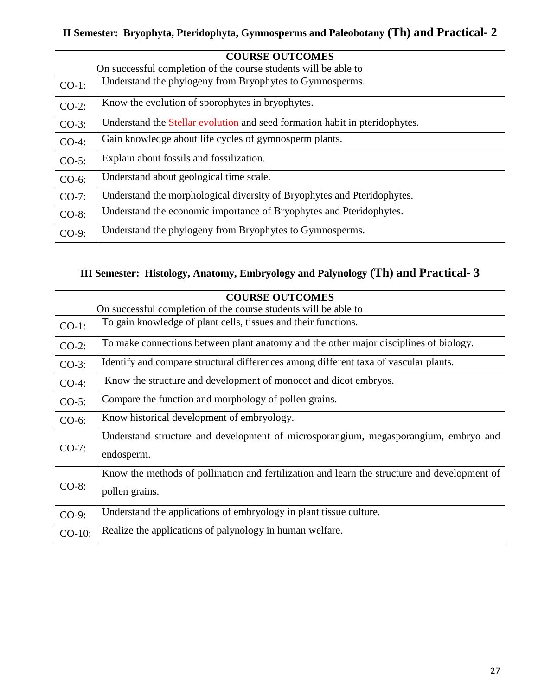### **II Semester: Bryophyta, Pteridophyta, Gymnosperms and Paleobotany (Th) and Practical- 2**

| <b>COURSE OUTCOMES</b> |                                                                             |  |
|------------------------|-----------------------------------------------------------------------------|--|
|                        | On successful completion of the course students will be able to             |  |
| $CO-1$ :               | Understand the phylogeny from Bryophytes to Gymnosperms.                    |  |
| $CO-2$ :               | Know the evolution of sporophytes in bryophytes.                            |  |
| $CO-3$ :               | Understand the Stellar evolution and seed formation habit in pteridophytes. |  |
| $CO-4$ :               | Gain knowledge about life cycles of gymnosperm plants.                      |  |
| $CO-5$ :               | Explain about fossils and fossilization.                                    |  |
| $CO-6$ :               | Understand about geological time scale.                                     |  |
| $CO-7$ :               | Understand the morphological diversity of Bryophytes and Pteridophytes.     |  |
| CO-8:                  | Understand the economic importance of Bryophytes and Pteridophytes.         |  |
| $CO-9$ :               | Understand the phylogeny from Bryophytes to Gymnosperms.                    |  |

#### **III Semester: Histology, Anatomy, Embryology and Palynology (Th) and Practical- 3**

| <b>COURSE OUTCOMES</b> |                                                                                                                |
|------------------------|----------------------------------------------------------------------------------------------------------------|
|                        | On successful completion of the course students will be able to                                                |
| $CO-1$ :               | To gain knowledge of plant cells, tissues and their functions.                                                 |
| $CO-2$ :               | To make connections between plant anatomy and the other major disciplines of biology.                          |
| $CO-3$ :               | Identify and compare structural differences among different taxa of vascular plants.                           |
| $CO-4$ :               | Know the structure and development of monocot and dicot embryos.                                               |
| $CO-5$ :               | Compare the function and morphology of pollen grains.                                                          |
| $CO-6$ :               | Know historical development of embryology.                                                                     |
| $CO-7$ :               | Understand structure and development of microsporangium, megasporangium, embryo and<br>endosperm.              |
| $CO-8$ :               | Know the methods of pollination and fertilization and learn the structure and development of<br>pollen grains. |
| $CO-9$ :               | Understand the applications of embryology in plant tissue culture.                                             |
| $CO-10$ :              | Realize the applications of palynology in human welfare.                                                       |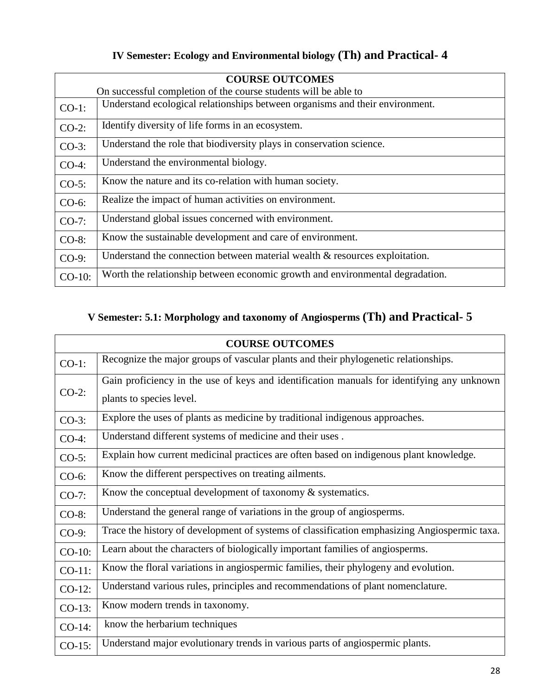|           | <b>COURSE OUTCOMES</b>                                                         |  |
|-----------|--------------------------------------------------------------------------------|--|
|           | On successful completion of the course students will be able to                |  |
| $CO-1$ :  | Understand ecological relationships between organisms and their environment.   |  |
| $CO-2$ :  | Identify diversity of life forms in an ecosystem.                              |  |
| $CO-3$ :  | Understand the role that biodiversity plays in conservation science.           |  |
| $CO-4$ :  | Understand the environmental biology.                                          |  |
| $CO-5$ :  | Know the nature and its co-relation with human society.                        |  |
| $CO-6$ :  | Realize the impact of human activities on environment.                         |  |
| $CO-7$ :  | Understand global issues concerned with environment.                           |  |
| $CO-8$ :  | Know the sustainable development and care of environment.                      |  |
| $CO-9$ :  | Understand the connection between material wealth $\&$ resources exploitation. |  |
| $CO-10$ : | Worth the relationship between economic growth and environmental degradation.  |  |

#### **IV Semester: Ecology and Environmental biology (Th) and Practical- 4**

### **V Semester: 5.1: Morphology and taxonomy of Angiosperms (Th) and Practical- 5**

| <b>COURSE OUTCOMES</b> |                                                                                              |
|------------------------|----------------------------------------------------------------------------------------------|
| $CO-1$ :               | Recognize the major groups of vascular plants and their phylogenetic relationships.          |
| $CO-2$ :               | Gain proficiency in the use of keys and identification manuals for identifying any unknown   |
|                        | plants to species level.                                                                     |
| $CO-3$ :               | Explore the uses of plants as medicine by traditional indigenous approaches.                 |
| $CO-4$ :               | Understand different systems of medicine and their uses.                                     |
| $CO-5$ :               | Explain how current medicinal practices are often based on indigenous plant knowledge.       |
| $CO-6$ :               | Know the different perspectives on treating ailments.                                        |
| $CO-7:$                | Know the conceptual development of taxonomy $\&$ systematics.                                |
| $CO-8$ :               | Understand the general range of variations in the group of angiosperms.                      |
| $CO-9$ :               | Trace the history of development of systems of classification emphasizing Angiospermic taxa. |
| $CO-10$ :              | Learn about the characters of biologically important families of angiosperms.                |
| $CO-11$ :              | Know the floral variations in angiospermic families, their phylogeny and evolution.          |
| $CO-12$ :              | Understand various rules, principles and recommendations of plant nomenclature.              |
| $CO-13$ :              | Know modern trends in taxonomy.                                                              |
| $CO-14$ :              | know the herbarium techniques                                                                |
| $CO-15$ :              | Understand major evolutionary trends in various parts of angiospermic plants.                |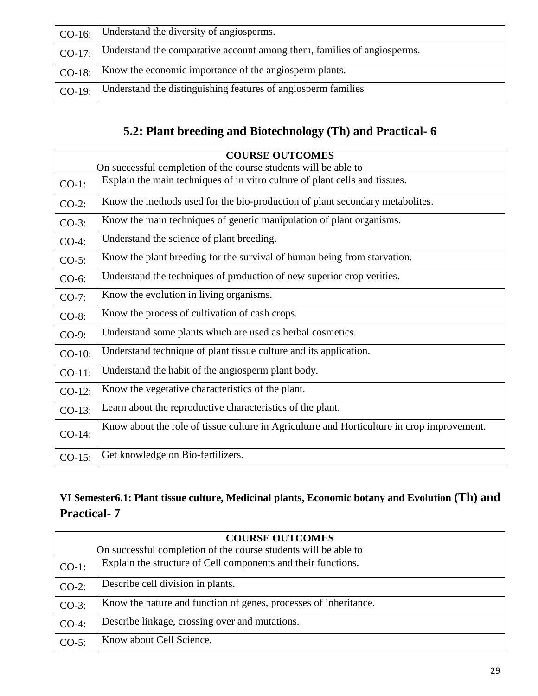| $\vert$ CO-16: $\vert$ Understand the diversity of angiosperms.                                |
|------------------------------------------------------------------------------------------------|
| $\vert$ CO-17: $\vert$ Understand the comparative account among them, families of angiosperms. |
| $\mid$ CO-18:   Know the economic importance of the angiosperm plants.                         |
| CO-19:   Understand the distinguishing features of angiosperm families                         |

### **5.2: Plant breeding and Biotechnology (Th) and Practical- 6**

|           | <b>COURSE OUTCOMES</b>                                                                     |
|-----------|--------------------------------------------------------------------------------------------|
|           | On successful completion of the course students will be able to                            |
| $CO-1$ :  | Explain the main techniques of in vitro culture of plant cells and tissues.                |
| $CO-2$ :  | Know the methods used for the bio-production of plant secondary metabolites.               |
| $CO-3$ :  | Know the main techniques of genetic manipulation of plant organisms.                       |
| $CO-4$ :  | Understand the science of plant breeding.                                                  |
| $CO-5$ :  | Know the plant breeding for the survival of human being from starvation.                   |
| $CO-6$ :  | Understand the techniques of production of new superior crop verities.                     |
| $CO-7$ :  | Know the evolution in living organisms.                                                    |
| $CO-8$ :  | Know the process of cultivation of cash crops.                                             |
| CO-9:     | Understand some plants which are used as herbal cosmetics.                                 |
| $CO-10$ : | Understand technique of plant tissue culture and its application.                          |
| $CO-11$ : | Understand the habit of the angiosperm plant body.                                         |
| $CO-12$ : | Know the vegetative characteristics of the plant.                                          |
| $CO-13$ : | Learn about the reproductive characteristics of the plant.                                 |
| $CO-14$ : | Know about the role of tissue culture in Agriculture and Horticulture in crop improvement. |
| $CO-15$ : | Get knowledge on Bio-fertilizers.                                                          |

#### **VI Semester6.1: Plant tissue culture, Medicinal plants, Economic botany and Evolution (Th) and Practical- 7**

| <b>COURSE OUTCOMES</b> |                                                                  |  |
|------------------------|------------------------------------------------------------------|--|
|                        | On successful completion of the course students will be able to  |  |
| $CO-1$ :               | Explain the structure of Cell components and their functions.    |  |
| $CO-2$ :               | Describe cell division in plants.                                |  |
| $CO-3$ :               | Know the nature and function of genes, processes of inheritance. |  |
| $CO-4$ :               | Describe linkage, crossing over and mutations.                   |  |
| $CO-5$ :               | Know about Cell Science.                                         |  |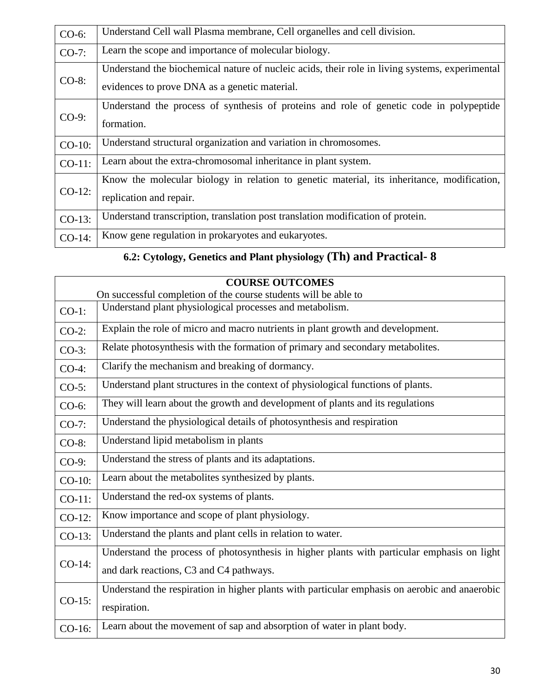| CO-6:     | Understand Cell wall Plasma membrane, Cell organelles and cell division.                                                                        |
|-----------|-------------------------------------------------------------------------------------------------------------------------------------------------|
| $CO-7$ :  | Learn the scope and importance of molecular biology.                                                                                            |
| $CO-8$ :  | Understand the biochemical nature of nucleic acids, their role in living systems, experimental<br>evidences to prove DNA as a genetic material. |
| $CO-9$ :  | Understand the process of synthesis of proteins and role of genetic code in polypeptide<br>formation.                                           |
| $CO-10$ : | Understand structural organization and variation in chromosomes.                                                                                |
| $CO-11$ : | Learn about the extra-chromosomal inheritance in plant system.                                                                                  |
| $CO-12$ : | Know the molecular biology in relation to genetic material, its inheritance, modification,<br>replication and repair.                           |
| $CO-13$ : | Understand transcription, translation post translation modification of protein.                                                                 |
| CO-14:    | Know gene regulation in prokaryotes and eukaryotes.                                                                                             |

### **6.2: Cytology, Genetics and Plant physiology (Th) and Practical- 8**

|           | <b>COURSE OUTCOMES</b>                                                                        |  |
|-----------|-----------------------------------------------------------------------------------------------|--|
|           | On successful completion of the course students will be able to                               |  |
| $CO-1$ :  | Understand plant physiological processes and metabolism.                                      |  |
| $CO-2$ :  | Explain the role of micro and macro nutrients in plant growth and development.                |  |
| $CO-3$ :  | Relate photosynthesis with the formation of primary and secondary metabolites.                |  |
| $CO-4$ :  | Clarify the mechanism and breaking of dormancy.                                               |  |
| $CO-5$ :  | Understand plant structures in the context of physiological functions of plants.              |  |
| $CO-6$ :  | They will learn about the growth and development of plants and its regulations                |  |
| $CO-7$ :  | Understand the physiological details of photosynthesis and respiration                        |  |
| CO-8:     | Understand lipid metabolism in plants                                                         |  |
| CO-9:     | Understand the stress of plants and its adaptations.                                          |  |
| $CO-10$ : | Learn about the metabolites synthesized by plants.                                            |  |
| $CO-11$ : | Understand the red-ox systems of plants.                                                      |  |
| $CO-12$ : | Know importance and scope of plant physiology.                                                |  |
| $CO-13$ : | Understand the plants and plant cells in relation to water.                                   |  |
|           | Understand the process of photosynthesis in higher plants with particular emphasis on light   |  |
| CO-14:    | and dark reactions, C3 and C4 pathways.                                                       |  |
| $CO-15$ : | Understand the respiration in higher plants with particular emphasis on aerobic and anaerobic |  |
|           | respiration.                                                                                  |  |
| CO-16:    | Learn about the movement of sap and absorption of water in plant body.                        |  |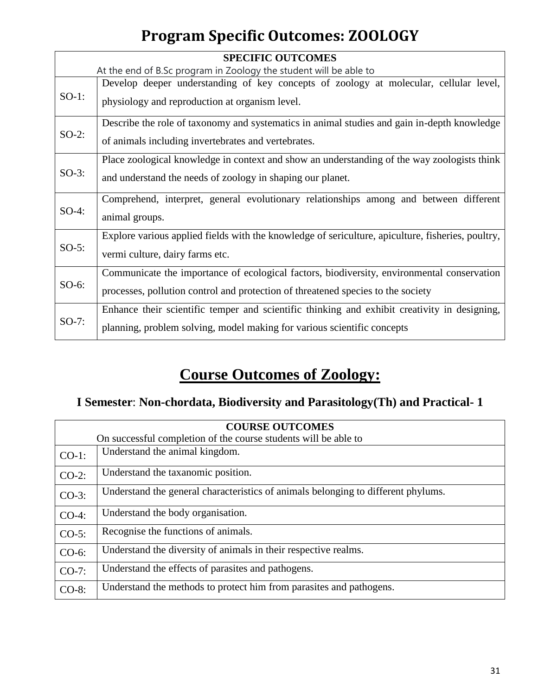# **Program Specific Outcomes: ZOOLOGY**

|          | <b>SPECIFIC OUTCOMES</b>                                                                          |  |
|----------|---------------------------------------------------------------------------------------------------|--|
|          | At the end of B.Sc program in Zoology the student will be able to                                 |  |
| $SO-1$ : | Develop deeper understanding of key concepts of zoology at molecular, cellular level,             |  |
|          | physiology and reproduction at organism level.                                                    |  |
|          | Describe the role of taxonomy and systematics in animal studies and gain in-depth knowledge       |  |
| $SO-2$ : | of animals including invertebrates and vertebrates.                                               |  |
|          | Place zoological knowledge in context and show an understanding of the way zoologists think       |  |
| $SO-3$ : | and understand the needs of zoology in shaping our planet.                                        |  |
|          | Comprehend, interpret, general evolutionary relationships among and between different             |  |
| $SO-4$ : | animal groups.                                                                                    |  |
|          | Explore various applied fields with the knowledge of sericulture, apiculture, fisheries, poultry, |  |
| $SO-5$ : | vermi culture, dairy farms etc.                                                                   |  |
| $SO-6$ : | Communicate the importance of ecological factors, biodiversity, environmental conservation        |  |
|          | processes, pollution control and protection of threatened species to the society                  |  |
| $SO-7$ : | Enhance their scientific temper and scientific thinking and exhibit creativity in designing,      |  |
|          | planning, problem solving, model making for various scientific concepts                           |  |

# **Course Outcomes of Zoology:**

### **I Semester**: **Non-chordata, Biodiversity and Parasitology(Th) and Practical- 1**

| <b>COURSE OUTCOMES</b> |                                                                                   |
|------------------------|-----------------------------------------------------------------------------------|
|                        | On successful completion of the course students will be able to                   |
| $CO-1$ :               | Understand the animal kingdom.                                                    |
| $CO-2$ :               | Understand the taxanomic position.                                                |
| $CO-3$ :               | Understand the general characteristics of animals belonging to different phylums. |
| $CO-4$ :               | Understand the body organisation.                                                 |
| $CO-5$ :               | Recognise the functions of animals.                                               |
| $CO-6$ :               | Understand the diversity of animals in their respective realms.                   |
| $CO-7$ :               | Understand the effects of parasities and pathogens.                               |
| $CO-8$ :               | Understand the methods to protect him from parasites and pathogens.               |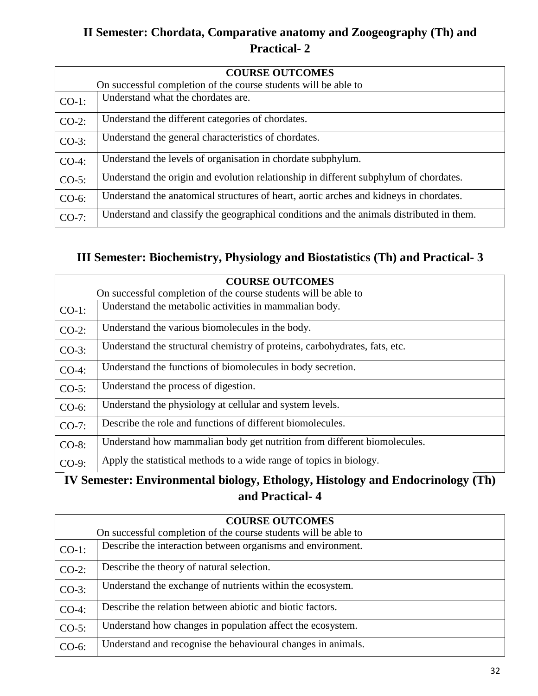### **II Semester: Chordata, Comparative anatomy and Zoogeography (Th) and Practical- 2**

| <b>COURSE OUTCOMES</b> |                                                                                          |  |
|------------------------|------------------------------------------------------------------------------------------|--|
|                        | On successful completion of the course students will be able to                          |  |
| $CO-1$ :               | Understand what the chordates are.                                                       |  |
| $CO-2$ :               | Understand the different categories of chordates.                                        |  |
| $CO-3$ :               | Understand the general characteristics of chordates.                                     |  |
| $CO-4$ :               | Understand the levels of organisation in chordate subphylum.                             |  |
| $CO-5$ :               | Understand the origin and evolution relationship in different subphylum of chordates.    |  |
| $CO-6$ :               | Understand the anatomical structures of heart, aortic arches and kidneys in chordates.   |  |
| $CO-7$ :               | Understand and classify the geographical conditions and the animals distributed in them. |  |

#### **III Semester: Biochemistry, Physiology and Biostatistics (Th) and Practical- 3**

|          | <b>COURSE OUTCOMES</b>                                                     |  |
|----------|----------------------------------------------------------------------------|--|
|          | On successful completion of the course students will be able to            |  |
| $CO-1$ : | Understand the metabolic activities in mammalian body.                     |  |
| $CO-2$ : | Understand the various biomolecules in the body.                           |  |
| $CO-3$ : | Understand the structural chemistry of proteins, carbohydrates, fats, etc. |  |
| $CO-4$ : | Understand the functions of biomolecules in body secretion.                |  |
| $CO-5$ : | Understand the process of digestion.                                       |  |
| CO-6:    | Understand the physiology at cellular and system levels.                   |  |
| $CO-7$ : | Describe the role and functions of different biomolecules.                 |  |
| CO-8:    | Understand how mammalian body get nutrition from different biomolecules.   |  |
| $CO-9$ : | Apply the statistical methods to a wide range of topics in biology.        |  |
|          |                                                                            |  |

#### **IV Semester: Environmental biology, Ethology, Histology and Endocrinology (Th) and Practical- 4**

| <b>COURSE OUTCOMES</b> |                                                                 |  |
|------------------------|-----------------------------------------------------------------|--|
|                        | On successful completion of the course students will be able to |  |
| $CO-1$ :               | Describe the interaction between organisms and environment.     |  |
| $CO-2$ :               | Describe the theory of natural selection.                       |  |
| $CO-3$ :               | Understand the exchange of nutrients within the ecosystem.      |  |
| $CO-4$ :               | Describe the relation between abiotic and biotic factors.       |  |
| $CO-5$ :               | Understand how changes in population affect the ecosystem.      |  |
| $CO-6$ :               | Understand and recognise the behavioural changes in animals.    |  |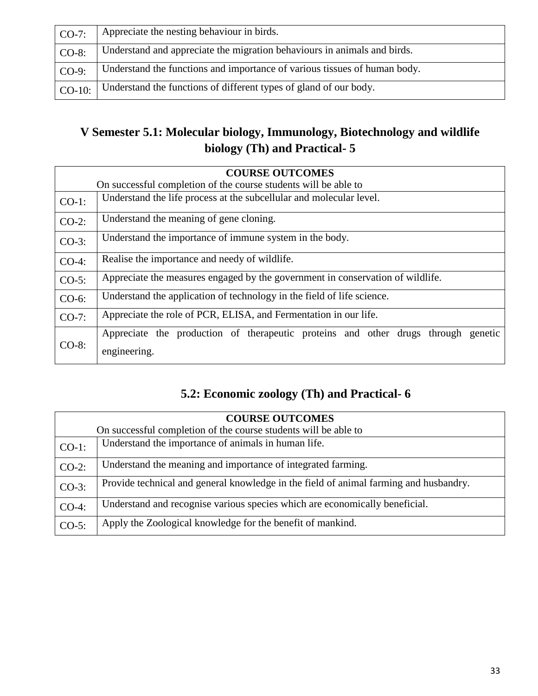| $CO-7:$  | Appreciate the nesting behaviour in birds.                                |
|----------|---------------------------------------------------------------------------|
| $CO-8$ : | Understand and appreciate the migration behaviours in animals and birds.  |
| $CO-9:$  | Understand the functions and importance of various tissues of human body. |
| $CO-10:$ | Understand the functions of different types of gland of our body.         |

### **V Semester 5.1: Molecular biology, Immunology, Biotechnology and wildlife biology (Th) and Practical- 5**

| <b>COURSE OUTCOMES</b> |                                                                                                      |  |
|------------------------|------------------------------------------------------------------------------------------------------|--|
|                        | On successful completion of the course students will be able to                                      |  |
| $CO-1$ :               | Understand the life process at the subcellular and molecular level.                                  |  |
| $CO-2$ :               | Understand the meaning of gene cloning.                                                              |  |
| $CO-3$ :               | Understand the importance of immune system in the body.                                              |  |
| $CO-4$ :               | Realise the importance and needy of wildlife.                                                        |  |
| $CO-5$ :               | Appreciate the measures engaged by the government in conservation of wildlife.                       |  |
| $CO-6$ :               | Understand the application of technology in the field of life science.                               |  |
| $CO-7$ :               | Appreciate the role of PCR, ELISA, and Fermentation in our life.                                     |  |
| $CO-8$ :               | Appreciate the production of therapeutic proteins and other drugs through<br>genetic<br>engineering. |  |

### **5.2: Economic zoology (Th) and Practical- 6**

| <b>COURSE OUTCOMES</b> |                                                                                       |  |
|------------------------|---------------------------------------------------------------------------------------|--|
|                        | On successful completion of the course students will be able to                       |  |
| $CO-1$ :               | Understand the importance of animals in human life.                                   |  |
| $CO-2$ :               | Understand the meaning and importance of integrated farming.                          |  |
| $CO-3$ :               | Provide technical and general knowledge in the field of animal farming and husbandry. |  |
| $CO-4$ :               | Understand and recognise various species which are economically beneficial.           |  |
| $CO-5$ :               | Apply the Zoological knowledge for the benefit of mankind.                            |  |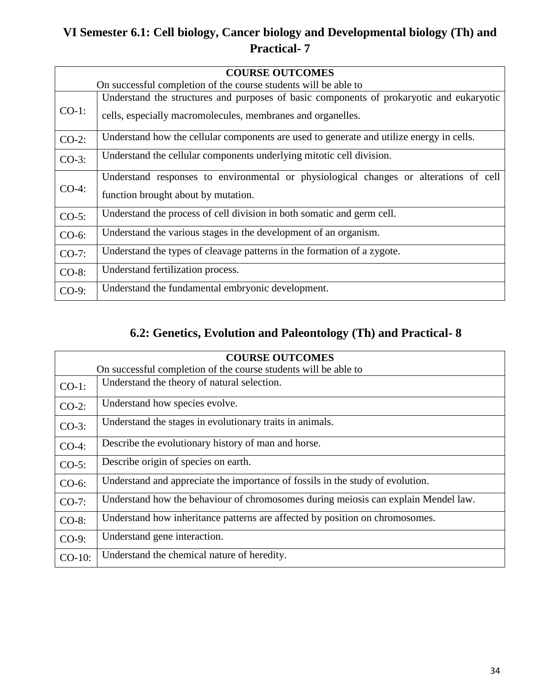### **VI Semester 6.1: Cell biology, Cancer biology and Developmental biology (Th) and Practical- 7**

| <b>COURSE OUTCOMES</b> |                                                                                          |
|------------------------|------------------------------------------------------------------------------------------|
|                        | On successful completion of the course students will be able to                          |
|                        | Understand the structures and purposes of basic components of prokaryotic and eukaryotic |
| $CO-1$ :               | cells, especially macromolecules, membranes and organelles.                              |
| $CO-2$ :               | Understand how the cellular components are used to generate and utilize energy in cells. |
| $CO-3$ :               | Understand the cellular components underlying mitotic cell division.                     |
|                        | Understand responses to environmental or physiological changes or alterations of cell    |
| $CO-4:$                | function brought about by mutation.                                                      |
| $CO-5$ :               | Understand the process of cell division in both somatic and germ cell.                   |
| $CO-6$ :               | Understand the various stages in the development of an organism.                         |
| $CO-7$ :               | Understand the types of cleavage patterns in the formation of a zygote.                  |
| $CO-8$ :               | Understand fertilization process.                                                        |
| $CO-9$ :               | Understand the fundamental embryonic development.                                        |

#### **6.2: Genetics, Evolution and Paleontology (Th) and Practical- 8**

| <b>COURSE OUTCOMES</b> |                                                                                    |  |
|------------------------|------------------------------------------------------------------------------------|--|
|                        | On successful completion of the course students will be able to                    |  |
| $CO-1$ :               | Understand the theory of natural selection.                                        |  |
| $CO-2$ :               | Understand how species evolve.                                                     |  |
| $CO-3$ :               | Understand the stages in evolutionary traits in animals.                           |  |
| $CO-4$ :               | Describe the evolutionary history of man and horse.                                |  |
| $CO-5$ :               | Describe origin of species on earth.                                               |  |
| $CO-6$ :               | Understand and appreciate the importance of fossils in the study of evolution.     |  |
| $CO-7$ :               | Understand how the behaviour of chromosomes during meiosis can explain Mendel law. |  |
| $CO-8$ :               | Understand how inheritance patterns are affected by position on chromosomes.       |  |
| $CO-9$ :               | Understand gene interaction.                                                       |  |
| $CO-10$ :              | Understand the chemical nature of heredity.                                        |  |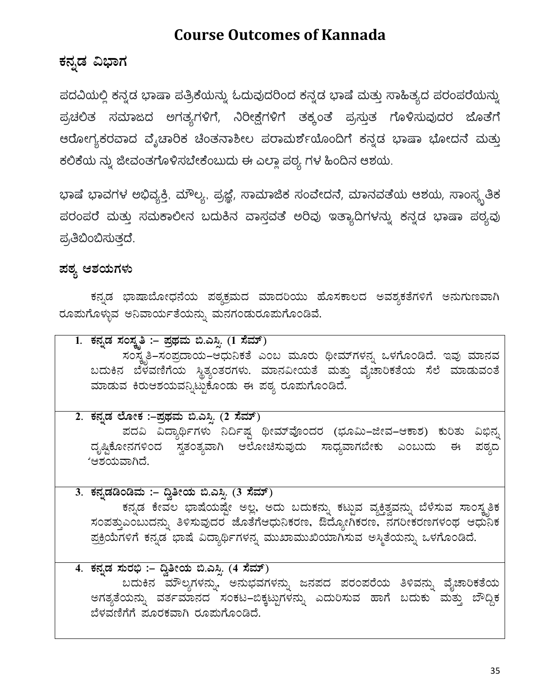### **Course Outcomes of Kannada**

### ಕನ್ನಡ ವಿಭಾಗ

ಪದವಿಯಲ್ಲಿ ಕನ್ನಡ ಭಾಷಾ ಪತ್ರಿಕೆಯನ್ನು ಓದುವುದರಿಂದ ಕನ್ನಡ ಭಾಷೆ ಮತ್ತು ಸಾಹಿತ್ಯದ ಪರಂಪರೆಯನ್ನು ಪ್ರಚಲಿತ ಸಮಾಜದ ಅಗತ್ಯಗಳಿಗೆ, ನಿರೀಕ್ಷೆಗಳಿಗೆ ತಕ್ಕಂತೆ ಪ್ರಸ್ತುತ ಗೊಳಿಸುವುದರ ಜೊತೆಗೆ ಆರೋಗ್ಯಕರವಾದ ವೈಚಾರಿಕ ಚಿಂತನಾಶೀಲ ಪರಾಮರ್ಶೆಯೊಂದಿಗೆ ಕನ್ನಡ ಭಾಷಾ ಭೋದನೆ ಮತ್ತು ಕಲಿಕೆಯ ನ್ನು ಜೀವಂತಗೊಳಿಸಬೇಕೆಂಬುದು ಈ ಎಲ್ಲಾ ಪಠ್ಯ ಗಳ ಹಿಂದಿನ ಆಶಯ.

ಭಾಷೆ ಭಾವಗಳ ಅಭಿವ್ಯಕ್ತಿ, ಮೌಲ್ಯ, ಪ್ರಜ್ಞೆ, ಸಾಮಾಜಿಕ ಸಂವೇದನೆ, ಮಾನವತೆಯ ಆಶಯ, ಸಾಂಸ್ಕ್ರತಿಕ ಪರಂಪರೆ ಮತ್ತು ಸಮಕಾಲೀನ ಬದುಕಿನ ವಾಸ್ತವತೆ ಅರಿವು ಇತ್ಯಾದಿಗಳನ್ನು ಕನ್ನಡ ಭಾಷಾ ಪಠ್ಯವು ಪ್ರತಿಬಿಂಬಿಸುತ್ತದೆ.

### ಹಠ್ಯ ಆಶಯಗಳು

ಕನ್ನಡ ಭಾಷಾಬೋಧನೆಯ ಪಠ್ಯಕ್ರಮದ ಮಾದರಿಯು ಹೊಸಕಾಲದ ಅವಶ್ಯಕತೆಗಳಿಗೆ ಅನುಗುಣವಾಗಿ ರೂಮಗೊಳ್ಳುವ ಅನಿವಾರ್ಯತೆಯನ್ನು ಮನಗಂಡುರೂಮಗೊಂಡಿವೆ.

1. ಕನ್ನಡ ಸಂಸ್ಕೃತಿ :– ಪ್ರಥಮ ಬಿ.ಎಸ್ಸಿ. (1 ಸೆಮ್) ಸಂಸ್ಕೃತಿ–ಸಂಪ್ರದಾಯ–ಆಧುನಿಕತೆ ಎಂಬ ಮೂರು ಥೀಮ್ಗಳನ್ನ ಒಳಗೊಂಡಿದೆ. ಇವು ಮಾನವ ಬದುಕಿನ ಬೆಳವಣಿಗೆಯ ಸ್ಥಿತ್ಯಂತರಗಳು. ಮಾನವೀಯತೆ ಮತ್ತು ವೈಚಾರಿಕತೆಯ ಸೆಲೆ ಮಾಡುವಂತೆ ಮಾಡುವ ಕಿರುಆಶಯವನ್ನಿಟ್ಟುಕೊಂಡು ಈ ಪಠ್ಯ ರೂಮಗೊಂಡಿದೆ. <u>2. ಕನ್ನಡ ಲೋಕ :–ಪ್ರಥಮ ಬಿ.ಎಸ್ಪಿ (2 ಸೆಮ್)</u> ಪದವಿ ವಿದ್ಯಾರ್ಥಿಗಳು ನಿರ್ದಿಷ್ಟ ಥೀಮ್ವೊಂದರ (ಭೂಮಿ–ಜೀವ–ಆಕಾಶ) ಕುರಿತು ವಿಭಿನ್ನ \_ದೃಷ್ಟಿಕೋನಗಳಿಂದ ಸ್ವತಂತ್ಯವಾಗಿ ಆಲೋಚಿಸುವುದು ಸಾಧ್ಯವಾಗಬೇಕು ಎಂಬುದು ಈ ಪಠ್ಯದ 'ಆಶಯವಾಗಿದೆ. <u>3. ಕನ್ನಡಡಿಂಡಿಮ :– ದ್ವಿತೀಯ ಬಿ.ಎಸ್ಪಿ (3 ಸೆಮ್)</u> ಕನ್ನಡ ಕೇವಲ ಭಾಷೆಯಷ್ಟೇ ಅಲ್ಲ, ಅದು ಬದುಕನ್ನು ಕಟ್ಟುವ ವ್ಯಕ್ತಿತ್ವವನ್ನು ಬೆಳೆಸುವ ಸಾಂಸ್ಕೃತಿಕ ಸಂಪತ್ತುಎಂಬುದನ್ನು ತಿಳಿಸುವುದರ ಜೊತೆಗೆಆಧುನಿಕರಣ, ಔದ್ಯೋಗಿಕರಣ, ನಗರೀಕರಣಗಳಂಥ ಆಧುನಿಕ ಪ್ರಕ್ರಿಯೆಗಳಿಗೆ ಕನ್ನಡ `ಭಾಷೆ ವಿದ್ಯಾರ್ಥಿಗಳನ್ನ ಮುಖಾಮುಖಿಯಾಗಿಸುವ ಅಸ್ಮಿತೆಯನ್ನು ಒಳಗೊಂಡಿದೆ. <u>4. ಕನ್ನಡ ಸುರಭಿ :– ದ್ವಿತೀಯ ಬಿ.ಎಸ್ಪಿ (4 ಸೆಮ್)</u>

ಬದುಕಿನ ಮೌಲ್ಯಗಳನ್ನು, ಅನುಭವಗಳನ್ನು ಜನಪದ ಪರಂಪರೆಯ ತಿಳಿವನ್ನು ವೈಚಾರಿಕತೆಯ ಅಗತ್ಯತೆಯನ್ನು ವರ್ತಮಾನದ ಸಂಕಟ–ಬಿಕ್ಕಟ್ಟುಗಳನ್ನು ಎದುರಿಸುವ ಹಾಗೆ ಬದುಕು ಮತ್ತು ಬೌದ್ದಿಕ ಬೆಳವಣಿಗೆಗೆ ಪೂರಕವಾಗಿ ರೂಮಗೊಂಡಿದೆ.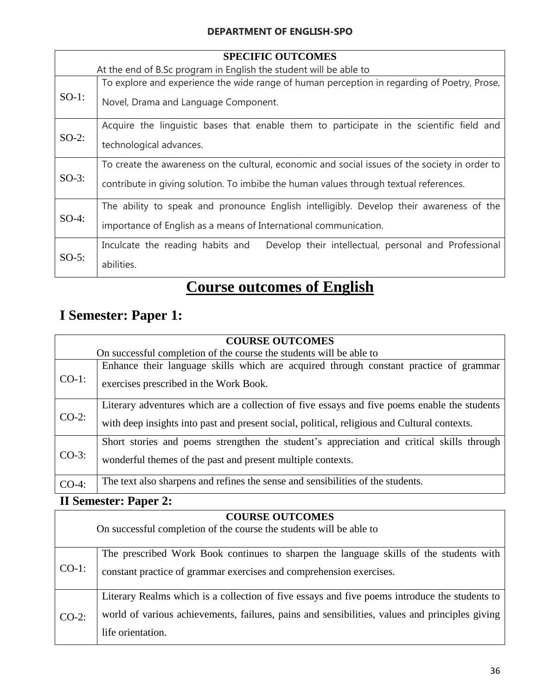#### **DEPARTMENT OF ENGLISH-SPO**

| <b>SPECIFIC OUTCOMES</b> |                                                                                                                                                                                         |  |
|--------------------------|-----------------------------------------------------------------------------------------------------------------------------------------------------------------------------------------|--|
|                          | At the end of B.Sc program in English the student will be able to                                                                                                                       |  |
| $SO-1$ :                 | To explore and experience the wide range of human perception in regarding of Poetry, Prose,<br>Novel, Drama and Language Component.                                                     |  |
| $SO-2$ :                 | Acquire the linguistic bases that enable them to participate in the scientific field and<br>technological advances.                                                                     |  |
| $SO-3$ :                 | To create the awareness on the cultural, economic and social issues of the society in order to<br>contribute in giving solution. To imbibe the human values through textual references. |  |
| $SO-4$ :                 | The ability to speak and pronounce English intelligibly. Develop their awareness of the<br>importance of English as a means of International communication.                             |  |
| $SO-5$ :                 | Inculcate the reading habits and Develop their intellectual, personal and Professional<br>abilities.                                                                                    |  |

# **Course outcomes of English**

### **I Semester: Paper 1:**

| <b>COURSE OUTCOMES</b> |                                                                                                                                                                                              |  |
|------------------------|----------------------------------------------------------------------------------------------------------------------------------------------------------------------------------------------|--|
|                        | On successful completion of the course the students will be able to                                                                                                                          |  |
| $CO-1$ :               | Enhance their language skills which are acquired through constant practice of grammar<br>exercises prescribed in the Work Book.                                                              |  |
| $CO-2$ :               | Literary adventures which are a collection of five essays and five poems enable the students<br>with deep insights into past and present social, political, religious and Cultural contexts. |  |
| $CO-3$ :               | Short stories and poems strengthen the student's appreciation and critical skills through<br>wonderful themes of the past and present multiple contexts.                                     |  |
| $CO-4$ :               | The text also sharpens and refines the sense and sensibilities of the students.                                                                                                              |  |

### **II Semester: Paper 2:**

Г

#### **COURSE OUTCOMES**

|          | On successful completion of the course the students will be able to                                                                                                                                                  |  |
|----------|----------------------------------------------------------------------------------------------------------------------------------------------------------------------------------------------------------------------|--|
| $CO-1$ : | The prescribed Work Book continues to sharpen the language skills of the students with<br>constant practice of grammar exercises and comprehension exercises.                                                        |  |
| $CO-2$ : | Literary Realms which is a collection of five essays and five poems introduce the students to<br>world of various achievements, failures, pains and sensibilities, values and principles giving<br>life orientation. |  |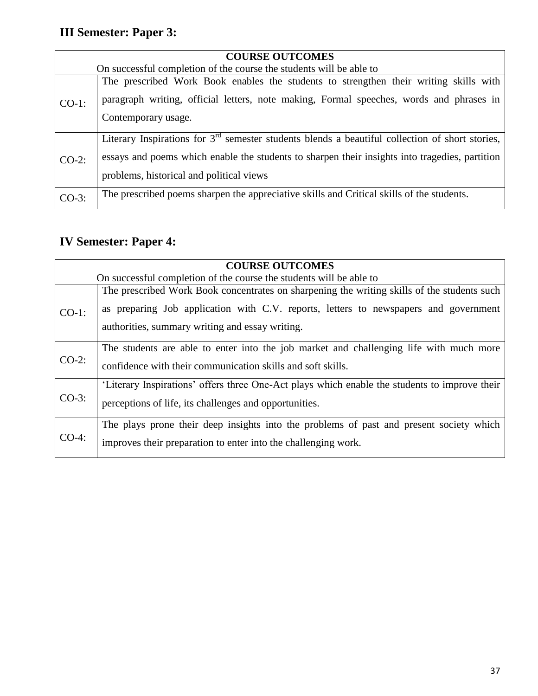# **III Semester: Paper 3:**

| <b>COURSE OUTCOMES</b> |                                                                                                                                                                                                                                                 |  |
|------------------------|-------------------------------------------------------------------------------------------------------------------------------------------------------------------------------------------------------------------------------------------------|--|
|                        | On successful completion of the course the students will be able to                                                                                                                                                                             |  |
| $CO-1$ :               | The prescribed Work Book enables the students to strengthen their writing skills with<br>paragraph writing, official letters, note making, Formal speeches, words and phrases in<br>Contemporary usage.                                         |  |
| $CO-2$ :               | Literary Inspirations for $3rd$ semester students blends a beautiful collection of short stories,<br>essays and poems which enable the students to sharpen their insights into tragedies, partition<br>problems, historical and political views |  |
| $CO-3$ :               | The prescribed poems sharpen the appreciative skills and Critical skills of the students.                                                                                                                                                       |  |

### **IV Semester: Paper 4:**

|          | <b>COURSE OUTCOMES</b>                                                                                                                                                                                                                 |  |
|----------|----------------------------------------------------------------------------------------------------------------------------------------------------------------------------------------------------------------------------------------|--|
|          | On successful completion of the course the students will be able to                                                                                                                                                                    |  |
| $CO-1$ : | The prescribed Work Book concentrates on sharpening the writing skills of the students such<br>as preparing Job application with C.V. reports, letters to newspapers and government<br>authorities, summary writing and essay writing. |  |
| $CO-2$ : | The students are able to enter into the job market and challenging life with much more<br>confidence with their communication skills and soft skills.                                                                                  |  |
| $CO-3$ : | 'Literary Inspirations' offers three One-Act plays which enable the students to improve their<br>perceptions of life, its challenges and opportunities.                                                                                |  |
| $CO-4$ : | The plays prone their deep insights into the problems of past and present society which<br>improves their preparation to enter into the challenging work.                                                                              |  |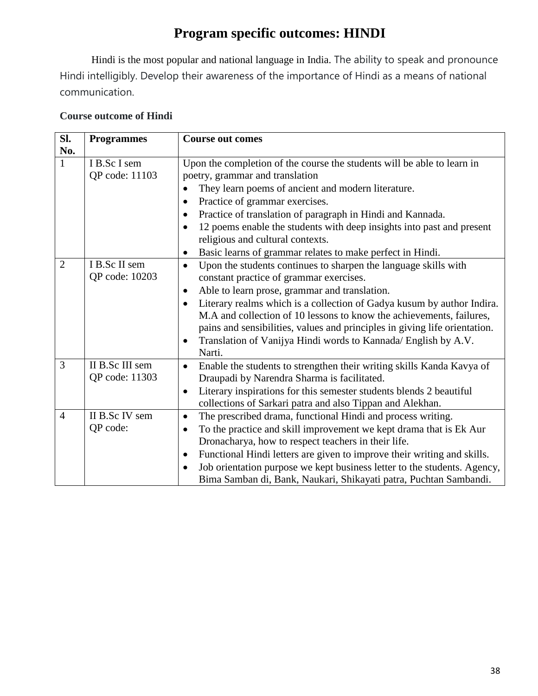### **Program specific outcomes: HINDI**

Hindi is the most popular and national language in India. The ability to speak and pronounce Hindi intelligibly. Develop their awareness of the importance of Hindi as a means of national communication.

#### **Course outcome of Hindi**

| Sl.            | <b>Programmes</b> | <b>Course out comes</b>                                                              |
|----------------|-------------------|--------------------------------------------------------------------------------------|
| No.            |                   |                                                                                      |
| $\mathbf{1}$   | I B.Sc I sem      | Upon the completion of the course the students will be able to learn in              |
|                | QP code: 11103    | poetry, grammar and translation                                                      |
|                |                   | They learn poems of ancient and modern literature.                                   |
|                |                   | Practice of grammar exercises.<br>$\bullet$                                          |
|                |                   | Practice of translation of paragraph in Hindi and Kannada.<br>$\bullet$              |
|                |                   | 12 poems enable the students with deep insights into past and present<br>٠           |
|                |                   | religious and cultural contexts.                                                     |
|                |                   | Basic learns of grammar relates to make perfect in Hindi.                            |
| $\overline{2}$ | I B.Sc II sem     | Upon the students continues to sharpen the language skills with<br>$\bullet$         |
|                | QP code: 10203    | constant practice of grammar exercises.                                              |
|                |                   | Able to learn prose, grammar and translation.<br>٠                                   |
|                |                   | Literary realms which is a collection of Gadya kusum by author Indira.               |
|                |                   | M.A and collection of 10 lessons to know the achievements, failures,                 |
|                |                   | pains and sensibilities, values and principles in giving life orientation.           |
|                |                   | Translation of Vanijya Hindi words to Kannada/ English by A.V.<br>$\bullet$          |
|                |                   | Narti.                                                                               |
| 3              | II B.Sc III sem   | Enable the students to strengthen their writing skills Kanda Kavya of<br>$\bullet$   |
|                | QP code: 11303    | Draupadi by Narendra Sharma is facilitated.                                          |
|                |                   | Literary inspirations for this semester students blends 2 beautiful                  |
|                |                   | collections of Sarkari patra and also Tippan and Alekhan.                            |
| $\overline{4}$ | II B.Sc IV sem    | The prescribed drama, functional Hindi and process writing.<br>٠                     |
|                | QP code:          | To the practice and skill improvement we kept drama that is Ek Aur                   |
|                |                   | Dronacharya, how to respect teachers in their life.                                  |
|                |                   | Functional Hindi letters are given to improve their writing and skills.<br>$\bullet$ |
|                |                   | Job orientation purpose we kept business letter to the students. Agency,             |
|                |                   | Bima Samban di, Bank, Naukari, Shikayati patra, Puchtan Sambandi.                    |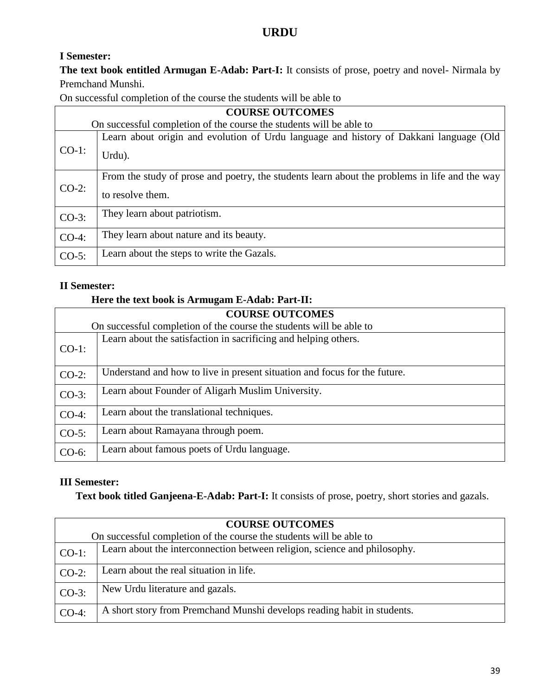#### **URDU**

#### **I Semester:**

**The text book entitled Armugan E-Adab: Part-I:** It consists of prose, poetry and novel- Nirmala by Premchand Munshi.

On successful completion of the course the students will be able to

| <b>COURSE OUTCOMES</b> |                                                                                                                   |
|------------------------|-------------------------------------------------------------------------------------------------------------------|
|                        | On successful completion of the course the students will be able to                                               |
| $CO-1$ :               | Learn about origin and evolution of Urdu language and history of Dakkani language (Old<br>Urdu).                  |
| $CO-2$ :               | From the study of prose and poetry, the students learn about the problems in life and the way<br>to resolve them. |
| $CO-3$ :               | They learn about patriotism.                                                                                      |
| $CO-4$ :               | They learn about nature and its beauty.                                                                           |
| $CO-5$ :               | Learn about the steps to write the Gazals.                                                                        |

#### **II Semester:**

#### **Here the text book is Armugam E-Adab: Part-II:**

| <b>COURSE OUTCOMES</b> |                                                                           |  |
|------------------------|---------------------------------------------------------------------------|--|
|                        | On successful completion of the course the students will be able to       |  |
| $CO-1$ :               | Learn about the satisfaction in sacrificing and helping others.           |  |
| $CO-2$ :               | Understand and how to live in present situation and focus for the future. |  |
| $CO-3$ :               | Learn about Founder of Aligarh Muslim University.                         |  |
| $CO-4$ :               | Learn about the translational techniques.                                 |  |
| $CO-5$ :               | Learn about Ramayana through poem.                                        |  |
| $CO-6$ :               | Learn about famous poets of Urdu language.                                |  |

#### **III Semester:**

**Text book titled Ganjeena-E-Adab: Part-I:** It consists of prose, poetry, short stories and gazals.

| <b>COURSE OUTCOMES</b> |                                                                           |  |
|------------------------|---------------------------------------------------------------------------|--|
|                        | On successful completion of the course the students will be able to       |  |
| $CO-1$ :               | Learn about the interconnection between religion, science and philosophy. |  |
| $CO-2$ :               | Learn about the real situation in life.                                   |  |
| $CO-3$ :               | New Urdu literature and gazals.                                           |  |
| $CO-4$ :               | A short story from Premchand Munshi develops reading habit in students.   |  |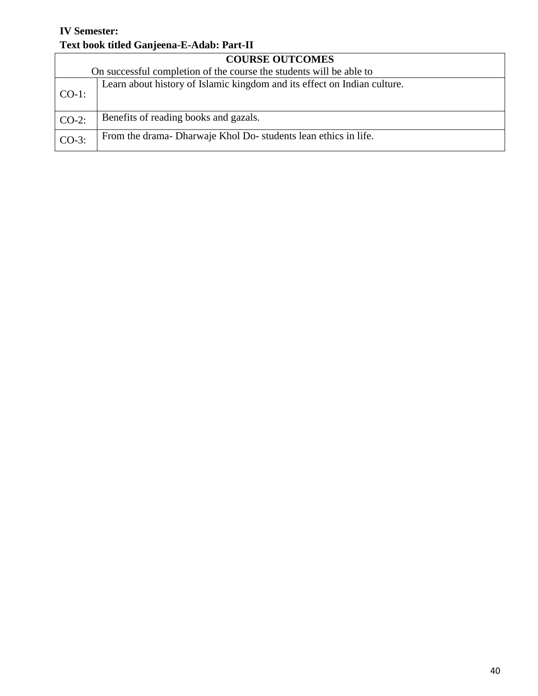#### **IV Semester: Text book titled Ganjeena-E-Adab: Part-II**

| <b>COURSE OUTCOMES</b><br>On successful completion of the course the students will be able to |                                                                          |  |
|-----------------------------------------------------------------------------------------------|--------------------------------------------------------------------------|--|
| $CO-1$ :                                                                                      | Learn about history of Islamic kingdom and its effect on Indian culture. |  |
| $CO-2$ :                                                                                      | Benefits of reading books and gazals.                                    |  |
| $CO-3$ :                                                                                      | From the drama-Dharwaje Khol Do-students lean ethics in life.            |  |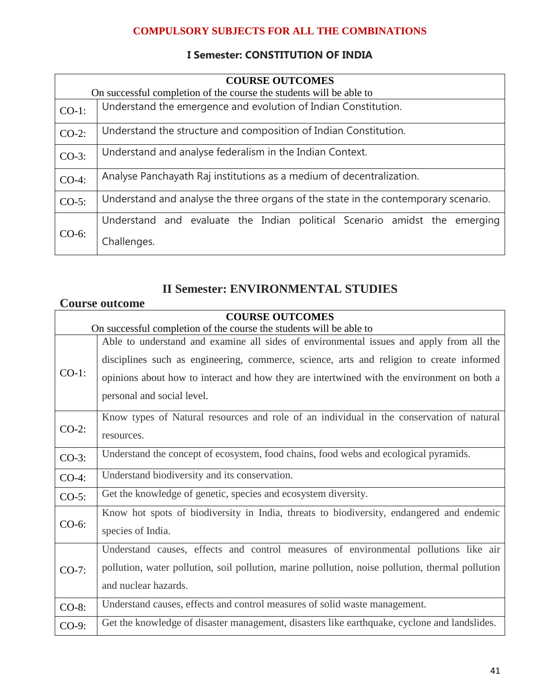#### **COMPULSORY SUBJECTS FOR ALL THE COMBINATIONS**

#### **I Semester: CONSTITUTION OF INDIA**

|          | <b>COURSE OUTCOMES</b><br>On successful completion of the course the students will be able to |  |  |
|----------|-----------------------------------------------------------------------------------------------|--|--|
| $CO-1$ : | Understand the emergence and evolution of Indian Constitution.                                |  |  |
| $CO-2$ : | Understand the structure and composition of Indian Constitution.                              |  |  |
| $CO-3$ : | Understand and analyse federalism in the Indian Context.                                      |  |  |
| $CO-4$ : | Analyse Panchayath Raj institutions as a medium of decentralization.                          |  |  |
| $CO-5$ : | Understand and analyse the three organs of the state in the contemporary scenario.            |  |  |
| $CO-6$ : | Understand and evaluate the Indian political Scenario amidst the emerging                     |  |  |
|          | Challenges.                                                                                   |  |  |

### **II Semester: ENVIRONMENTAL STUDIES**

#### **Course outcome**

|                                                                     | <b>COURSE OUTCOMES</b>                                                                           |
|---------------------------------------------------------------------|--------------------------------------------------------------------------------------------------|
| On successful completion of the course the students will be able to |                                                                                                  |
|                                                                     | Able to understand and examine all sides of environmental issues and apply from all the          |
|                                                                     | disciplines such as engineering, commerce, science, arts and religion to create informed         |
| $CO-1$ :                                                            | opinions about how to interact and how they are intertwined with the environment on both a       |
|                                                                     | personal and social level.                                                                       |
| $CO-2$ :                                                            | Know types of Natural resources and role of an individual in the conservation of natural         |
|                                                                     | resources.                                                                                       |
| $CO-3$ :                                                            | Understand the concept of ecosystem, food chains, food webs and ecological pyramids.             |
| $CO-4$ :                                                            | Understand biodiversity and its conservation.                                                    |
| $CO-5$ :                                                            | Get the knowledge of genetic, species and ecosystem diversity.                                   |
|                                                                     | Know hot spots of biodiversity in India, threats to biodiversity, endangered and endemic         |
| $CO-6$ :                                                            | species of India.                                                                                |
| $CO-7:$                                                             | Understand causes, effects and control measures of environmental pollutions like air             |
|                                                                     | pollution, water pollution, soil pollution, marine pollution, noise pollution, thermal pollution |
|                                                                     | and nuclear hazards.                                                                             |
| $CO-8$ :                                                            | Understand causes, effects and control measures of solid waste management.                       |
| $CO-9$ :                                                            | Get the knowledge of disaster management, disasters like earthquake, cyclone and landslides.     |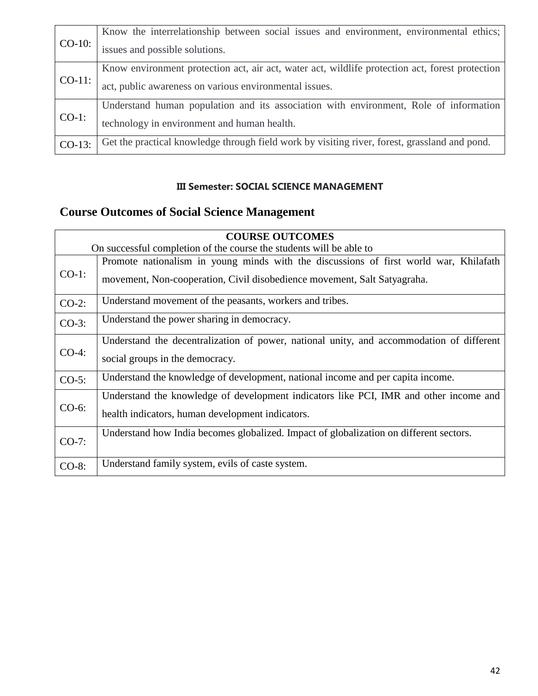| $CO-10$ : | Know the interrelationship between social issues and environment, environmental ethics;         |
|-----------|-------------------------------------------------------------------------------------------------|
|           | issues and possible solutions.                                                                  |
| $CO-11$ : | Know environment protection act, air act, water act, wildlife protection act, forest protection |
|           | act, public awareness on various environmental issues.                                          |
| $CO-1$ :  | Understand human population and its association with environment, Role of information           |
|           | technology in environment and human health.                                                     |
| $CO-13$ : | Get the practical knowledge through field work by visiting river, forest, grassland and pond.   |

#### **III Semester: SOCIAL SCIENCE MANAGEMENT**

### **Course Outcomes of Social Science Management**

|          | <b>COURSE OUTCOMES</b>                                                                   |  |  |
|----------|------------------------------------------------------------------------------------------|--|--|
|          | On successful completion of the course the students will be able to                      |  |  |
| $CO-1$ : | Promote nationalism in young minds with the discussions of first world war, Khilafath    |  |  |
|          | movement, Non-cooperation, Civil disobedience movement, Salt Satyagraha.                 |  |  |
| $CO-2$ : | Understand movement of the peasants, workers and tribes.                                 |  |  |
| $CO-3$ : | Understand the power sharing in democracy.                                               |  |  |
| $CO-4$ : | Understand the decentralization of power, national unity, and accommodation of different |  |  |
|          | social groups in the democracy.                                                          |  |  |
| $CO-5$ : | Understand the knowledge of development, national income and per capita income.          |  |  |
| $CO-6$ : | Understand the knowledge of development indicators like PCI, IMR and other income and    |  |  |
|          | health indicators, human development indicators.                                         |  |  |
| $CO-7$ : | Understand how India becomes globalized. Impact of globalization on different sectors.   |  |  |
|          |                                                                                          |  |  |
| CO-8:    | Understand family system, evils of caste system.                                         |  |  |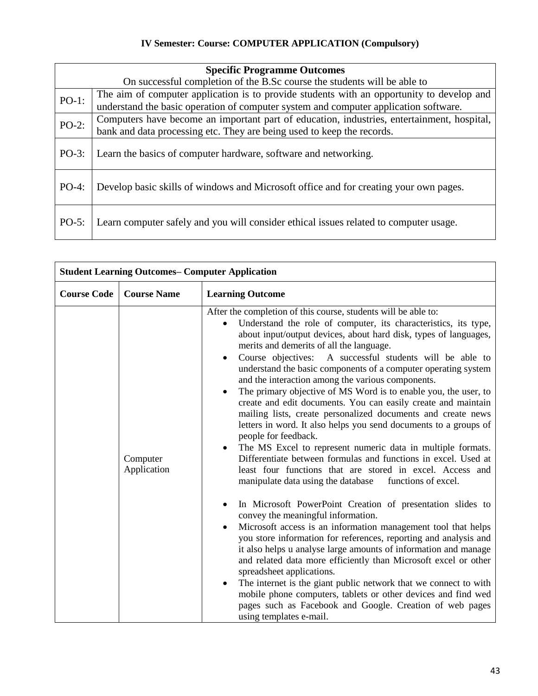#### **IV Semester: Course: COMPUTER APPLICATION (Compulsory)**

| <b>Specific Programme Outcomes</b>                                       |                                                                                                                                                                                   |  |
|--------------------------------------------------------------------------|-----------------------------------------------------------------------------------------------------------------------------------------------------------------------------------|--|
| On successful completion of the B.Sc course the students will be able to |                                                                                                                                                                                   |  |
| $PO-1$ :                                                                 | The aim of computer application is to provide students with an opportunity to develop and<br>understand the basic operation of computer system and computer application software. |  |
| $PO-2$ :                                                                 | Computers have become an important part of education, industries, entertainment, hospital,<br>bank and data processing etc. They are being used to keep the records.              |  |
| $PO-3:$                                                                  | Learn the basics of computer hardware, software and networking.                                                                                                                   |  |
| $PO-4:$                                                                  | Develop basic skills of windows and Microsoft office and for creating your own pages.                                                                                             |  |
| $PO-5$ :                                                                 | Learn computer safely and you will consider ethical issues related to computer usage.                                                                                             |  |

| <b>Student Learning Outcomes– Computer Application</b> |                         |                                                                                                                                                                                                                                                                                                                                                                                                                                                                                                                                                                                                                                                                                                                                                                                                                                                                                                                                                                                                                                                                                                                                                                                                                                                                                                                                                                                                                                                                                                                                                                                                                                                                                |
|--------------------------------------------------------|-------------------------|--------------------------------------------------------------------------------------------------------------------------------------------------------------------------------------------------------------------------------------------------------------------------------------------------------------------------------------------------------------------------------------------------------------------------------------------------------------------------------------------------------------------------------------------------------------------------------------------------------------------------------------------------------------------------------------------------------------------------------------------------------------------------------------------------------------------------------------------------------------------------------------------------------------------------------------------------------------------------------------------------------------------------------------------------------------------------------------------------------------------------------------------------------------------------------------------------------------------------------------------------------------------------------------------------------------------------------------------------------------------------------------------------------------------------------------------------------------------------------------------------------------------------------------------------------------------------------------------------------------------------------------------------------------------------------|
| <b>Course Code</b>                                     | <b>Course Name</b>      | <b>Learning Outcome</b>                                                                                                                                                                                                                                                                                                                                                                                                                                                                                                                                                                                                                                                                                                                                                                                                                                                                                                                                                                                                                                                                                                                                                                                                                                                                                                                                                                                                                                                                                                                                                                                                                                                        |
|                                                        | Computer<br>Application | After the completion of this course, students will be able to:<br>Understand the role of computer, its characteristics, its type,<br>$\bullet$<br>about input/output devices, about hard disk, types of languages,<br>merits and demerits of all the language.<br>Course objectives: A successful students will be able to<br>$\bullet$<br>understand the basic components of a computer operating system<br>and the interaction among the various components.<br>The primary objective of MS Word is to enable you, the user, to<br>create and edit documents. You can easily create and maintain<br>mailing lists, create personalized documents and create news<br>letters in word. It also helps you send documents to a groups of<br>people for feedback.<br>The MS Excel to represent numeric data in multiple formats.<br>$\bullet$<br>Differentiate between formulas and functions in excel. Used at<br>least four functions that are stored in excel. Access and<br>manipulate data using the database<br>functions of excel.<br>In Microsoft PowerPoint Creation of presentation slides to<br>convey the meaningful information.<br>Microsoft access is an information management tool that helps<br>you store information for references, reporting and analysis and<br>it also helps u analyse large amounts of information and manage<br>and related data more efficiently than Microsoft excel or other<br>spreadsheet applications.<br>The internet is the giant public network that we connect to with<br>mobile phone computers, tablets or other devices and find wed<br>pages such as Facebook and Google. Creation of web pages<br>using templates e-mail. |